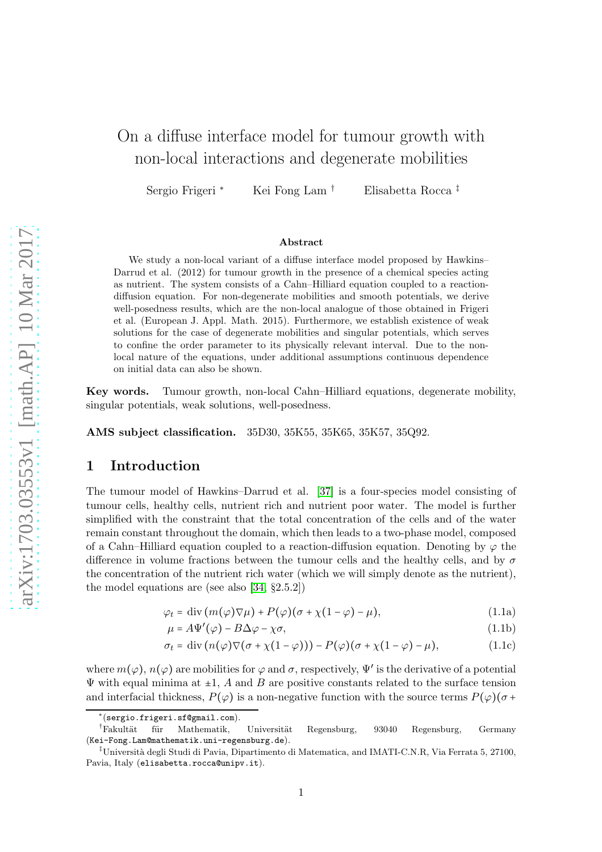# On a diffuse interface model for tumour growth with non-local interactions and degenerate mobilities

Sergio Frigeri <sup>∗</sup> Kei Fong Lam † Elisabetta Rocca ‡

#### Abstract

We study a non-local variant of a diffuse interface model proposed by Hawkins– Darrud et al. (2012) for tumour growth in the presence of a chemical species acting as nutrient. The system consists of a Cahn–Hilliard equation coupled to a reactiondiffusion equation. For non-degenerate mobilities and smooth potentials, we derive well-posedness results, which are the non-local analogue of those obtained in Frigeri et al. (European J. Appl. Math. 2015). Furthermore, we establish existence of weak solutions for the case of degenerate mobilities and singular potentials, which serves to confine the order parameter to its physically relevant interval. Due to the nonlocal nature of the equations, under additional assumptions continuous dependence on initial data can also be shown.

Key words. Tumour growth, non-local Cahn–Hilliard equations, degenerate mobility, singular potentials, weak solutions, well-posedness.

AMS subject classification. 35D30, 35K55, 35K65, 35K57, 35Q92.

# 1 Introduction

The tumour model of Hawkins–Darrud et al. [\[37\]](#page-26-0) is a four-species model consisting of tumour cells, healthy cells, nutrient rich and nutrient poor water. The model is further simplified with the constraint that the total concentration of the cells and of the water remain constant throughout the domain, which then leads to a two-phase model, composed of a Cahn–Hilliard equation coupled to a reaction-diffusion equation. Denoting by  $\varphi$  the difference in volume fractions between the tumour cells and the healthy cells, and by  $\sigma$ the concentration of the nutrient rich water (which we will simply denote as the nutrient), the model equations are (see also [\[34,](#page-26-1) §2.5.2])

$$
\varphi_t = \text{div}\,(m(\varphi)\nabla\mu) + P(\varphi)(\sigma + \chi(1-\varphi) - \mu),\tag{1.1a}
$$

<span id="page-0-3"></span><span id="page-0-2"></span><span id="page-0-1"></span><span id="page-0-0"></span>
$$
\mu = A\Psi'(\varphi) - B\Delta\varphi - \chi\sigma,\tag{1.1b}
$$

$$
\sigma_t = \text{div}\left(n(\varphi)\nabla(\sigma + \chi(1-\varphi))\right) - P(\varphi)(\sigma + \chi(1-\varphi) - \mu),\tag{1.1c}
$$

where  $m(\varphi)$ ,  $n(\varphi)$  are mobilities for  $\varphi$  and  $\sigma$ , respectively,  $\Psi'$  is the derivative of a potential  $\Psi$  with equal minima at  $\pm 1$ , A and B are positive constants related to the surface tension and interfacial thickness,  $P(\varphi)$  is a non-negative function with the source terms  $P(\varphi)(\sigma +$ 

<sup>∗</sup> (sergio.frigeri.sf@gmail.com).

<sup>†</sup>Fakultät für Mathematik, Universität Regensburg, 93040 Regensburg, Germany (Kei-Fong.Lam@mathematik.uni-regensburg.de).

<sup>&</sup>lt;sup>‡</sup>Università degli Studi di Pavia, Dipartimento di Matematica, and IMATI-C.N.R, Via Ferrata 5, 27100, Pavia, Italy (elisabetta.rocca@unipv.it).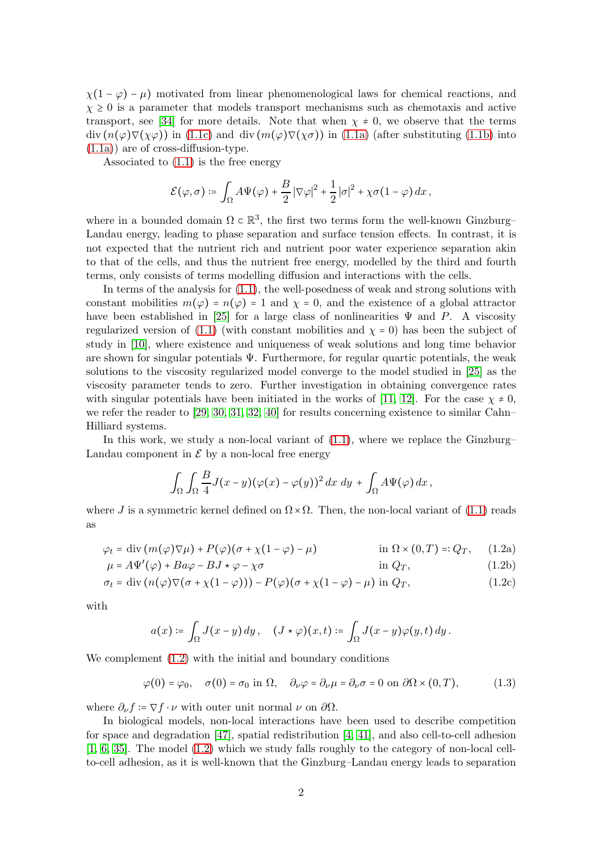$\chi(1-\varphi) - \mu$ ) motivated from linear phenomenological laws for chemical reactions, and  $\chi \geq 0$  is a parameter that models transport mechanisms such as chemotaxis and active transport, see [\[34\]](#page-26-1) for more details. Note that when  $\chi \neq 0$ , we observe that the terms  $\text{div}(n(\varphi)\nabla(\chi\varphi))$  in [\(1.1c\)](#page-0-0) and  $\text{div}(m(\varphi)\nabla(\chi\sigma))$  in [\(1.1a\)](#page-0-1) (after substituting [\(1.1b\)](#page-0-2) into [\(1.1a\)](#page-0-1)) are of cross-diffusion-type.

Associated to [\(1.1\)](#page-0-3) is the free energy

$$
\mathcal{E}(\varphi,\sigma) \coloneqq \int_{\Omega} A \Psi(\varphi) + \frac{B}{2} |\nabla \varphi|^2 + \frac{1}{2} |\sigma|^2 + \chi \sigma (1 - \varphi) \, dx \,,
$$

where in a bounded domain  $\Omega \subset \mathbb{R}^3$ , the first two terms form the well-known Ginzburg– Landau energy, leading to phase separation and surface tension effects. In contrast, it is not expected that the nutrient rich and nutrient poor water experience separation akin to that of the cells, and thus the nutrient free energy, modelled by the third and fourth terms, only consists of terms modelling diffusion and interactions with the cells.

In terms of the analysis for [\(1.1\)](#page-0-3), the well-posedness of weak and strong solutions with constant mobilities  $m(\varphi) = n(\varphi) = 1$  and  $\chi = 0$ , and the existence of a global attractor have been established in [\[25\]](#page-25-0) for a large class of nonlinearities  $\Psi$  and P. A viscosity regularized version of [\(1.1\)](#page-0-3) (with constant mobilities and  $\chi = 0$ ) has been the subject of study in [\[10\]](#page-24-0), where existence and uniqueness of weak solutions and long time behavior are shown for singular potentials  $\Psi$ . Furthermore, for regular quartic potentials, the weak solutions to the viscosity regularized model converge to the model studied in [\[25\]](#page-25-0) as the viscosity parameter tends to zero. Further investigation in obtaining convergence rates with singular potentials have been initiated in the works of [\[11,](#page-25-1) [12\]](#page-25-2). For the case  $\chi \neq 0$ , we refer the reader to [\[29,](#page-26-2) [30,](#page-26-3) [31,](#page-26-4) [32,](#page-26-5) [40\]](#page-26-6) for results concerning existence to similar Cahn– Hilliard systems.

In this work, we study a non-local variant of [\(1.1\)](#page-0-3), where we replace the Ginzburg– Landau component in  $\mathcal E$  by a non-local free energy

<span id="page-1-3"></span><span id="page-1-2"></span><span id="page-1-1"></span>
$$
\int_{\Omega}\int_{\Omega}\frac{B}{4}J(x-y)(\varphi(x)-\varphi(y))^2 dx dy + \int_{\Omega}A\Psi(\varphi) dx,
$$

<span id="page-1-0"></span>where J is a symmetric kernel defined on  $\Omega \times \Omega$ . Then, the non-local variant of [\(1.1\)](#page-0-3) reads as

$$
\varphi_t = \text{div}\left(m(\varphi)\nabla\mu\right) + P(\varphi)(\sigma + \chi(1-\varphi) - \mu) \qquad \text{in } \Omega \times (0,T) =: Q_T, \quad (1.2a)
$$

$$
\mu = A\Psi'(\varphi) + Ba\varphi - BJ \star \varphi - \chi\sigma \qquad \text{in } Q_T,
$$
\n(1.2b)

$$
\sigma_t = \text{div}\left(n(\varphi)\nabla(\sigma + \chi(1-\varphi))\right) - P(\varphi)(\sigma + \chi(1-\varphi) - \mu) \text{ in } Q_T,
$$
\n(1.2c)

with

<span id="page-1-4"></span>
$$
a(x) \coloneqq \int_{\Omega} J(x-y) \, dy \, , \quad (J \star \varphi)(x,t) \coloneqq \int_{\Omega} J(x-y) \varphi(y,t) \, dy \, .
$$

We complement  $(1.2)$  with the initial and boundary conditions

$$
\varphi(0) = \varphi_0, \quad \sigma(0) = \sigma_0 \text{ in } \Omega, \quad \partial_\nu \varphi = \partial_\nu \mu = \partial_\nu \sigma = 0 \text{ on } \partial \Omega \times (0, T), \tag{1.3}
$$

where  $\partial_{\nu} f = \nabla f \cdot \nu$  with outer unit normal  $\nu$  on  $\partial \Omega$ .

In biological models, non-local interactions have been used to describe competition for space and degradation [\[47\]](#page-27-0), spatial redistribution [\[4,](#page-24-1) [41\]](#page-26-7), and also cell-to-cell adhesion [\[1,](#page-24-2) [6,](#page-24-3) [35\]](#page-26-8). The model [\(1.2\)](#page-1-0) which we study falls roughly to the category of non-local cellto-cell adhesion, as it is well-known that the Ginzburg–Landau energy leads to separation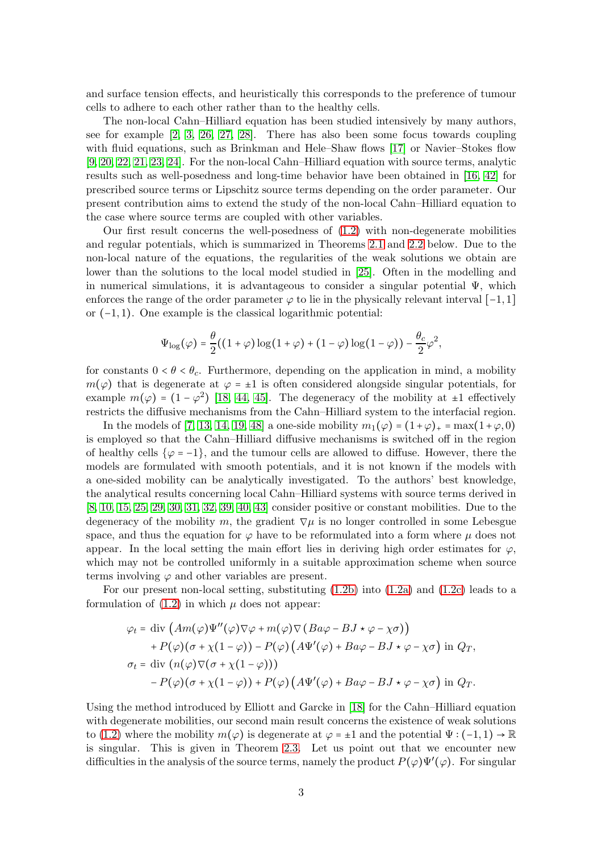and surface tension effects, and heuristically this corresponds to the preference of tumour cells to adhere to each other rather than to the healthy cells.

The non-local Cahn–Hilliard equation has been studied intensively by many authors, see for example [\[2,](#page-24-4) [3,](#page-24-5) [26,](#page-25-3) [27,](#page-26-9) [28\]](#page-26-10). There has also been some focus towards coupling with fluid equations, such as Brinkman and Hele–Shaw flows [\[17\]](#page-25-4) or Navier–Stokes flow [\[9,](#page-24-6) [20,](#page-25-5) [22,](#page-25-6) [21,](#page-25-7) [23,](#page-25-8) [24\]](#page-25-9). For the non-local Cahn–Hilliard equation with source terms, analytic results such as well-posedness and long-time behavior have been obtained in [\[16,](#page-25-10) [42\]](#page-27-1) for prescribed source terms or Lipschitz source terms depending on the order parameter. Our present contribution aims to extend the study of the non-local Cahn–Hilliard equation to the case where source terms are coupled with other variables.

Our first result concerns the well-posedness of [\(1.2\)](#page-1-0) with non-degenerate mobilities and regular potentials, which is summarized in Theorems [2.1](#page-5-0) and [2.2](#page-6-0) below. Due to the non-local nature of the equations, the regularities of the weak solutions we obtain are lower than the solutions to the local model studied in [\[25\]](#page-25-0). Often in the modelling and in numerical simulations, it is advantageous to consider a singular potential  $\Psi$ , which enforces the range of the order parameter  $\varphi$  to lie in the physically relevant interval [-1,1] or (−1, 1). One example is the classical logarithmic potential:

$$
\Psi_{\log}(\varphi) = \frac{\theta}{2}((1+\varphi)\log(1+\varphi) + (1-\varphi)\log(1-\varphi)) - \frac{\theta_c}{2}\varphi^2,
$$

for constants  $0 < \theta < \theta_c$ . Furthermore, depending on the application in mind, a mobility  $m(\varphi)$  that is degenerate at  $\varphi = \pm 1$  is often considered alongside singular potentials, for example  $m(\varphi) = (1 - \varphi^2)$  [\[18,](#page-25-11) [44,](#page-27-2) [45\]](#page-27-3). The degeneracy of the mobility at  $\pm 1$  effectively restricts the diffusive mechanisms from the Cahn–Hilliard system to the interfacial region.

In the models of [\[7,](#page-24-7) [13,](#page-25-12) [14,](#page-25-13) [19,](#page-25-14) [48\]](#page-27-4) a one-side mobility  $m_1(\varphi) = (1+\varphi)_+ = \max(1+\varphi, 0)$ is employed so that the Cahn–Hilliard diffusive mechanisms is switched off in the region of healthy cells  $\{\varphi = -1\}$ , and the tumour cells are allowed to diffuse. However, there the models are formulated with smooth potentials, and it is not known if the models with a one-sided mobility can be analytically investigated. To the authors' best knowledge, the analytical results concerning local Cahn–Hilliard systems with source terms derived in [\[8,](#page-24-8) [10,](#page-24-0) [15,](#page-25-15) [25,](#page-25-0) [29,](#page-26-2) [30,](#page-26-3) [31,](#page-26-4) [32,](#page-26-5) [39,](#page-26-11) [40,](#page-26-6) [43\]](#page-27-5) consider positive or constant mobilities. Due to the degeneracy of the mobility m, the gradient  $\nabla \mu$  is no longer controlled in some Lebesgue space, and thus the equation for  $\varphi$  have to be reformulated into a form where  $\mu$  does not appear. In the local setting the main effort lies in deriving high order estimates for  $\varphi$ , which may not be controlled uniformly in a suitable approximation scheme when source terms involving  $\varphi$  and other variables are present.

For our present non-local setting, substituting [\(1.2b\)](#page-1-1) into [\(1.2a\)](#page-1-2) and [\(1.2c\)](#page-1-3) leads to a formulation of  $(1.2)$  in which  $\mu$  does not appear:

$$
\varphi_t = \text{div} \left( Am(\varphi) \Psi''(\varphi) \nabla \varphi + m(\varphi) \nabla (Ba\varphi - BJ \star \varphi - \chi \sigma) \right) + P(\varphi) (\sigma + \chi(1 - \varphi)) - P(\varphi) (A\Psi'(\varphi) + Ba\varphi - BJ \star \varphi - \chi \sigma) \text{ in } Q_T, \sigma_t = \text{div} (n(\varphi) \nabla (\sigma + \chi(1 - \varphi))) - P(\varphi) (\sigma + \chi(1 - \varphi)) + P(\varphi) (A\Psi'(\varphi) + Ba\varphi - BJ \star \varphi - \chi \sigma) \text{ in } Q_T.
$$

Using the method introduced by Elliott and Garcke in [\[18\]](#page-25-11) for the Cahn–Hilliard equation with degenerate mobilities, our second main result concerns the existence of weak solutions to [\(1.2\)](#page-1-0) where the mobility  $m(\varphi)$  is degenerate at  $\varphi = \pm 1$  and the potential  $\Psi : (-1,1) \to \mathbb{R}$ is singular. This is given in Theorem [2.3.](#page-7-0) Let us point out that we encounter new difficulties in the analysis of the source terms, namely the product  $P(\varphi)\Psi'(\varphi)$ . For singular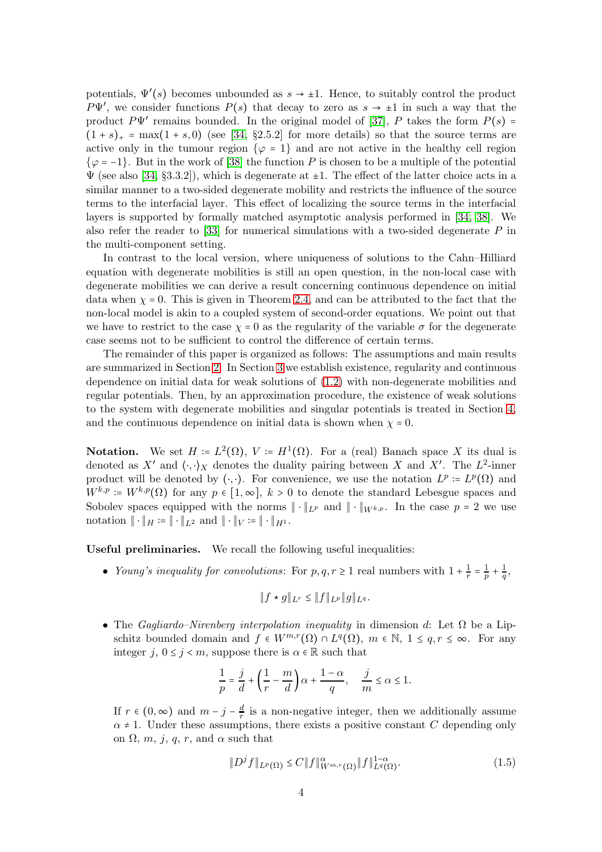potentials,  $\Psi'(s)$  becomes unbounded as  $s \to \pm 1$ . Hence, to suitably control the product  $P\Psi'$ , we consider functions  $P(s)$  that decay to zero as  $s \to \pm 1$  in such a way that the product  $P\Psi'$  remains bounded. In the original model of [\[37\]](#page-26-0), P takes the form  $P(s)$  =  $(1 + s)_+$  = max $(1 + s, 0)$  (see [\[34,](#page-26-1) §2.5.2] for more details) so that the source terms are active only in the tumour region  $\{\varphi = 1\}$  and are not active in the healthy cell region  $\{\varphi = -1\}$ . But in the work of [\[38\]](#page-26-12) the function P is chosen to be a multiple of the potential  $\Psi$  (see also [\[34,](#page-26-1) §3.3.2]), which is degenerate at  $\pm 1$ . The effect of the latter choice acts in a similar manner to a two-sided degenerate mobility and restricts the influence of the source terms to the interfacial layer. This effect of localizing the source terms in the interfacial layers is supported by formally matched asymptotic analysis performed in [\[34,](#page-26-1) [38\]](#page-26-12). We also refer the reader to [\[33\]](#page-26-13) for numerical simulations with a two-sided degenerate  $P$  in the multi-component setting.

In contrast to the local version, where uniqueness of solutions to the Cahn–Hilliard equation with degenerate mobilities is still an open question, in the non-local case with degenerate mobilities we can derive a result concerning continuous dependence on initial data when  $\chi = 0$ . This is given in Theorem [2.4,](#page-8-0) and can be attributed to the fact that the non-local model is akin to a coupled system of second-order equations. We point out that we have to restrict to the case  $\chi = 0$  as the regularity of the variable  $\sigma$  for the degenerate case seems not to be sufficient to control the difference of certain terms.

The remainder of this paper is organized as follows: The assumptions and main results are summarized in Section [2.](#page-4-0) In Section [3](#page-8-1) we establish existence, regularity and continuous dependence on initial data for weak solutions of [\(1.2\)](#page-1-0) with non-degenerate mobilities and regular potentials. Then, by an approximation procedure, the existence of weak solutions to the system with degenerate mobilities and singular potentials is treated in Section [4,](#page-16-0) and the continuous dependence on initial data is shown when  $\chi = 0$ .

**Notation.** We set  $H = L^2(\Omega)$ ,  $V = H^1(\Omega)$ . For a (real) Banach space X its dual is denoted as X' and  $\langle \cdot, \cdot \rangle_X$  denotes the duality pairing between X and X'. The  $L^2$ -inner product will be denoted by  $(·, ·)$ . For convenience, we use the notation  $L^p \coloneqq L^p(\Omega)$  and  $W^{k,p} = W^{k,p}(\Omega)$  for any  $p \in [1,\infty], k > 0$  to denote the standard Lebesgue spaces and Sobolev spaces equipped with the norms  $\|\cdot\|_{L^p}$  and  $\|\cdot\|_{W^{k,p}}$ . In the case  $p = 2$  we use notation  $\|\cdot\|_H \coloneqq \|\cdot\|_{L^2}$  and  $\|\cdot\|_V \coloneqq \|\cdot\|_{H^1}$ .

Useful preliminaries. We recall the following useful inequalities:

• Young's inequality for convolutions: For  $p, q, r \geq 1$  real numbers with  $1 + \frac{1}{r}$  $\frac{1}{r} = \frac{1}{p}$  $\frac{1}{p} + \frac{1}{q}$  $\frac{1}{q},$ 

$$
|| f \star g ||_{L^r} \leq || f ||_{L^p} || g ||_{L^q}.
$$

• The Gagliardo–Nirenberg interpolation inequality in dimension d: Let  $\Omega$  be a Lipschitz bounded domain and  $f \in W^{m,r}(\Omega) \cap L^q(\Omega)$ ,  $m \in \mathbb{N}$ ,  $1 \le q, r \le \infty$ . For any integer j,  $0 \le j \le m$ , suppose there is  $\alpha \in \mathbb{R}$  such that

$$
\frac{1}{p} = \frac{j}{d} + \left(\frac{1}{r} - \frac{m}{d}\right)\alpha + \frac{1-\alpha}{q}, \quad \frac{j}{m} \le \alpha \le 1.
$$

If  $r \in (0, \infty)$  and  $m - j - \frac{d}{r}$  $\frac{d}{r}$  is a non-negative integer, then we additionally assume  $\alpha \neq 1$ . Under these assumptions, there exists a positive constant C depending only on  $\Omega$ , m, j, q, r, and  $\alpha$  such that

<span id="page-3-0"></span>
$$
||D^{j}f||_{L^{p}(\Omega)} \leq C||f||_{W^{m,r}(\Omega)}^{\alpha}||f||_{L^{q}(\Omega)}^{1-\alpha}.
$$
\n(1.5)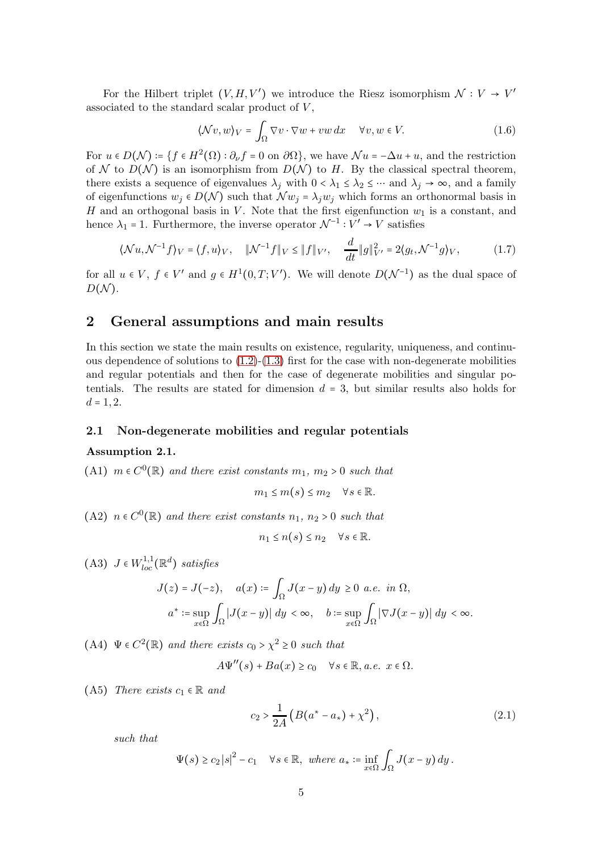For the Hilbert triplet  $(V, H, V')$  we introduce the Riesz isomorphism  $\mathcal{N}: V \to V'$ associated to the standard scalar product of  $V$ ,

<span id="page-4-9"></span><span id="page-4-5"></span>
$$
\langle \mathcal{N}v, w \rangle_V = \int_{\Omega} \nabla v \cdot \nabla w + vw \, dx \quad \forall v, w \in V. \tag{1.6}
$$

For  $u \in D(\mathcal{N}) \coloneqq \{f \in H^2(\Omega) : \partial_{\nu} f = 0 \text{ on } \partial \Omega\}$ , we have  $\mathcal{N}u = -\Delta u + u$ , and the restriction of N to  $D(\mathcal{N})$  is an isomorphism from  $D(\mathcal{N})$  to H. By the classical spectral theorem, there exists a sequence of eigenvalues  $\lambda_j$  with  $0 < \lambda_1 \leq \lambda_2 \leq \cdots$  and  $\lambda_j \to \infty$ , and a family of eigenfunctions  $w_j \in D(\mathcal{N})$  such that  $\mathcal{N}w_j = \lambda_j w_j$  which forms an orthonormal basis in H and an orthogonal basis in V. Note that the first eigenfunction  $w_1$  is a constant, and hence  $\lambda_1 = 1$ . Furthermore, the inverse operator  $\mathcal{N}^{-1} : V' \to V$  satisfies

$$
\langle \mathcal{N}u, \mathcal{N}^{-1}f \rangle_V = \langle f, u \rangle_V, \quad \|\mathcal{N}^{-1}f\|_V \le \|f\|_{V'}, \quad \frac{d}{dt} \|g\|_{V'}^2 = 2\langle g_t, \mathcal{N}^{-1}g \rangle_V, \tag{1.7}
$$

for all  $u \in V$ ,  $f \in V'$  and  $g \in H^1(0,T;V')$ . We will denote  $D(\mathcal{N}^{-1})$  as the dual space of  $D(N)$ .

# <span id="page-4-0"></span>2 General assumptions and main results

In this section we state the main results on existence, regularity, uniqueness, and continuous dependence of solutions to  $(1.2)-(1.3)$  $(1.2)-(1.3)$  first for the case with non-degenerate mobilities and regular potentials and then for the case of degenerate mobilities and singular potentials. The results are stated for dimension  $d = 3$ , but similar results also holds for  $d = 1, 2.$ 

#### 2.1 Non-degenerate mobilities and regular potentials

#### <span id="page-4-8"></span><span id="page-4-2"></span>Assumption 2.1.

(A1)  $m \in C^0(\mathbb{R})$  and there exist constants  $m_1, m_2 > 0$  such that

$$
m_1 \le m(s) \le m_2 \quad \forall s \in \mathbb{R}.
$$

<span id="page-4-4"></span>(A2)  $n \in C^0(\mathbb{R})$  and there exist constants  $n_1, n_2 > 0$  such that

$$
n_1 \le n(s) \le n_2 \quad \forall s \in \mathbb{R}.
$$

<span id="page-4-3"></span>(A3)  $J \in W_{loc}^{1,1}(\mathbb{R}^d)$  satisfies

$$
J(z) = J(-z), \quad a(x) \coloneqq \int_{\Omega} J(x - y) dy \ge 0 \ a.e. \ in \ \Omega,
$$

$$
a^* \coloneqq \sup_{x \in \Omega} \int_{\Omega} |J(x - y)| dy < \infty, \quad b \coloneqq \sup_{x \in \Omega} \int_{\Omega} |\nabla J(x - y)| dy < \infty.
$$

<span id="page-4-1"></span>(A4)  $\Psi \in C^2(\mathbb{R})$  and there exists  $c_0 > \chi^2 \geq 0$  such that

$$
A\Psi''(s) + Ba(x) \ge c_0 \quad \forall s \in \mathbb{R}, a.e. \ x \in \Omega.
$$

<span id="page-4-6"></span>(A5) There exists  $c_1 \in \mathbb{R}$  and

<span id="page-4-7"></span>
$$
c_2 > \frac{1}{2A} \left( B(a^* - a_*) + \chi^2 \right), \tag{2.1}
$$

such that

$$
\Psi(s) \ge c_2 |s|^2 - c_1 \quad \forall s \in \mathbb{R}, \text{ where } a_* \coloneqq \inf_{x \in \Omega} \int_{\Omega} J(x - y) \, dy \, .
$$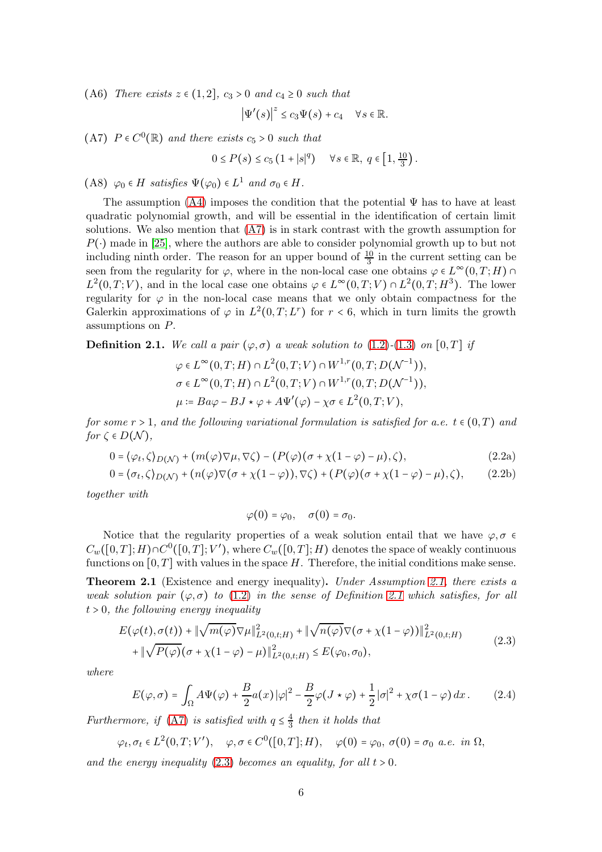<span id="page-5-5"></span>(A6) There exists  $z \in (1,2]$ ,  $c_3 > 0$  and  $c_4 \ge 0$  such that

$$
\left|\Psi'(s)\right|^z \leq c_3 \Psi(s) + c_4 \quad \forall s \in \mathbb{R}.
$$

<span id="page-5-1"></span>(A7)  $P \in C^0(\mathbb{R})$  and there exists  $c_5 > 0$  such that

$$
0 \le P(s) \le c_5 \left(1 + |s|^q\right) \quad \forall s \in \mathbb{R}, \ q \in \left[1, \frac{10}{3}\right).
$$

<span id="page-5-4"></span>(A8)  $\varphi_0 \in H$  satisfies  $\Psi(\varphi_0) \in L^1$  and  $\sigma_0 \in H$ .

The assumption  $(A4)$  imposes the condition that the potential  $\Psi$  has to have at least quadratic polynomial growth, and will be essential in the identification of certain limit solutions. We also mention that [\(A7\)](#page-5-1) is in stark contrast with the growth assumption for  $P(\cdot)$  made in [\[25\]](#page-25-0), where the authors are able to consider polynomial growth up to but not including ninth order. The reason for an upper bound of  $\frac{10}{3}$  in the current setting can be seen from the regularity for  $\varphi$ , where in the non-local case one obtains  $\varphi \in L^{\infty}(0,T;H)$  $L^2(0,T;V)$ , and in the local case one obtains  $\varphi \in L^{\infty}(0,T;V) \cap L^2(0,T;H^3)$ . The lower regularity for  $\varphi$  in the non-local case means that we only obtain compactness for the Galerkin approximations of  $\varphi$  in  $L^2(0,T;L^r)$  for  $r < 6$ , which in turn limits the growth assumptions on P.

<span id="page-5-2"></span>**Definition 2.1.** We call a pair  $(\varphi, \sigma)$  a weak solution to [\(1.2\)](#page-1-0)-[\(1.3\)](#page-1-4) on [0, T] if

$$
\varphi \in L^{\infty}(0,T;H) \cap L^{2}(0,T;V) \cap W^{1,r}(0,T;D(\mathcal{N}^{-1})),
$$
  
\n
$$
\sigma \in L^{\infty}(0,T;H) \cap L^{2}(0,T;V) \cap W^{1,r}(0,T;D(\mathcal{N}^{-1})),
$$
  
\n
$$
\mu \coloneqq Ba\varphi - BJ \star \varphi + A\Psi'(\varphi) - \chi\sigma \in L^{2}(0,T;V),
$$

for some  $r > 1$ , and the following variational formulation is satisfied for a.e.  $t \in (0,T)$  and for  $\zeta \in D(\mathcal{N}),$ 

<span id="page-5-8"></span>
$$
0 = \langle \varphi_t, \zeta \rangle_{D(\mathcal{N})} + (m(\varphi)\nabla\mu, \nabla\zeta) - (P(\varphi)(\sigma + \chi(1 - \varphi) - \mu), \zeta), \tag{2.2a}
$$

$$
0 = \langle \sigma_t, \zeta \rangle_{D(\mathcal{N})} + (n(\varphi) \nabla (\sigma + \chi(1 - \varphi)), \nabla \zeta) + (P(\varphi) (\sigma + \chi(1 - \varphi) - \mu), \zeta), \qquad (2.2b)
$$

together with

<span id="page-5-9"></span><span id="page-5-7"></span><span id="page-5-6"></span>
$$
\varphi(0)=\varphi_0,\quad \sigma(0)=\sigma_0.
$$

Notice that the regularity properties of a weak solution entail that we have  $\varphi, \sigma \in$  $C_w([0,T];H) \cap C^0([0,T];V'),$  where  $C_w([0,T];H)$  denotes the space of weakly continuous functions on  $[0, T]$  with values in the space H. Therefore, the initial conditions make sense.

<span id="page-5-0"></span>**Theorem 2.1** (Existence and energy inequality). Under Assumption [2.1,](#page-4-2) there exists a weak solution pair  $(\varphi, \sigma)$  to [\(1.2\)](#page-1-0) in the sense of Definition [2.1](#page-5-2) which satisfies, for all  $t > 0$ , the following energy inequality

<span id="page-5-3"></span>
$$
E(\varphi(t), \sigma(t)) + \|\sqrt{m(\varphi)} \nabla \mu\|_{L^2(0, t; H)}^2 + \|\sqrt{n(\varphi)} \nabla(\sigma + \chi(1 - \varphi))\|_{L^2(0, t; H)}^2 + \|\sqrt{P(\varphi)}(\sigma + \chi(1 - \varphi) - \mu)\|_{L^2(0, t; H)}^2 \le E(\varphi_0, \sigma_0),
$$
\n(2.3)

where

$$
E(\varphi,\sigma) = \int_{\Omega} A\Psi(\varphi) + \frac{B}{2} a(x) |\varphi|^2 - \frac{B}{2} \varphi(J \star \varphi) + \frac{1}{2} |\sigma|^2 + \chi \sigma (1 - \varphi) dx. \tag{2.4}
$$

Furthermore, if [\(A7\)](#page-5-1) is satisfied with  $q \leq \frac{4}{3}$  $\frac{4}{3}$  then it holds that

$$
\varphi_t, \sigma_t \in L^2(0, T; V'), \quad \varphi, \sigma \in C^0([0, T]; H), \quad \varphi(0) = \varphi_0, \sigma(0) = \sigma_0 \text{ a.e. in } \Omega,
$$

and the energy inequality  $(2.3)$  becomes an equality, for all  $t > 0$ .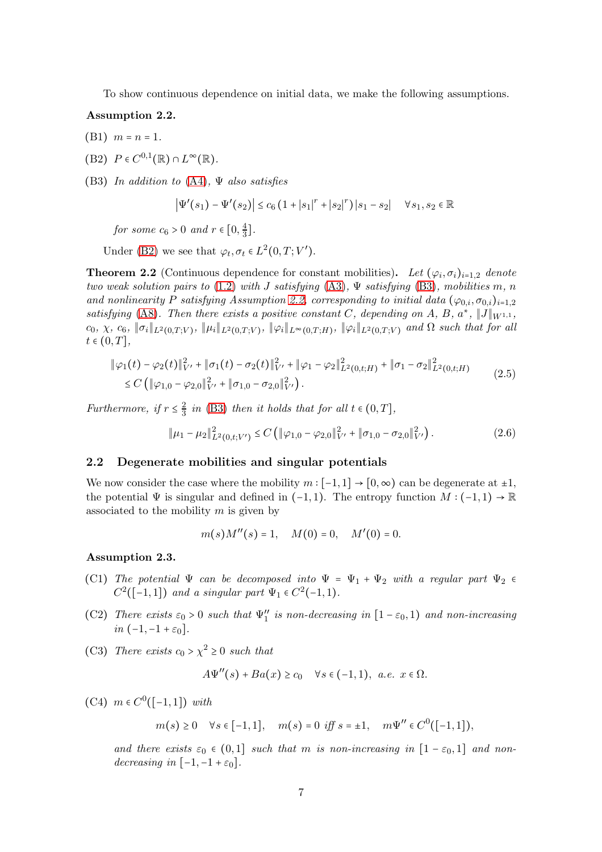To show continuous dependence on initial data, we make the following assumptions.

## <span id="page-6-3"></span>Assumption 2.2.

- <span id="page-6-1"></span>(B1)  $m = n = 1$ .
- <span id="page-6-2"></span>(B2)  $P \in C^{0,1}(\mathbb{R}) \cap L^{\infty}(\mathbb{R})$ .

(B3) In addition to  $(A4)$ ,  $\Psi$  also satisfies

$$
\left| \Psi'(s_1) - \Psi'(s_2) \right| \le c_6 \left( 1 + |s_1|^r + |s_2|^r \right) |s_1 - s_2| \quad \forall s_1, s_2 \in \mathbb{R}
$$

for some  $c_6 > 0$  and  $r \in [0, \frac{4}{3}]$  $\frac{4}{3}$ .

Under [\(B2\)](#page-6-1) we see that  $\varphi_t, \sigma_t \in L^2(0, T; V').$ 

<span id="page-6-0"></span>**Theorem 2.2** (Continuous dependence for constant mobilities). Let  $(\varphi_i, \sigma_i)_{i=1,2}$  denote two weak solution pairs to [\(1.2\)](#page-1-0) with J satisfying [\(A3\)](#page-4-3),  $\Psi$  satisfying [\(B3\)](#page-6-2), mobilities m, n and nonlinearity P satisfying Assumption [2.2,](#page-6-3) corresponding to initial data  $(\varphi_0, \varphi_0, i)_{i=1,2}$ satisfying [\(A8\)](#page-5-4). Then there exists a positive constant C, depending on A, B,  $a^*$ ,  $||J||_{W^{1,1}}$ ,  $c_0, \chi, c_6, \|\sigma_i\|_{L^2(0,T;V)}, \|\mu_i\|_{L^2(0,T;V)}, \|\varphi_i\|_{L^\infty(0,T;H)}, \|\varphi_i\|_{L^2(0,T;V)}$  and  $\Omega$  such that for all  $t \in (0, T],$ 

$$
\|\varphi_1(t) - \varphi_2(t)\|_{V'}^2 + \|\sigma_1(t) - \sigma_2(t)\|_{V'}^2 + \|\varphi_1 - \varphi_2\|_{L^2(0,t;H)}^2 + \|\sigma_1 - \sigma_2\|_{L^2(0,t;H)}^2
$$
  
\n
$$
\leq C \left( \|\varphi_{1,0} - \varphi_{2,0}\|_{V'}^2 + \|\sigma_{1,0} - \sigma_{2,0}\|_{V'}^2 \right).
$$
\n(2.5)

Furthermore, if  $r \leq \frac{2}{3}$  $\frac{2}{3}$  in [\(B3\)](#page-6-2) then it holds that for all  $t \in (0, T]$ ,

$$
\|\mu_1 - \mu_2\|_{L^2(0,t;V')}^2 \le C \left( \|\varphi_{1,0} - \varphi_{2,0}\|_{V'}^2 + \|\sigma_{1,0} - \sigma_{2,0}\|_{V'}^2 \right). \tag{2.6}
$$

#### 2.2 Degenerate mobilities and singular potentials

We now consider the case where the mobility  $m : [-1,1] \rightarrow [0,\infty)$  can be degenerate at  $\pm 1$ , the potential  $\Psi$  is singular and defined in (−1, 1). The entropy function  $M: (-1,1) \to \mathbb{R}$ associated to the mobility  $m$  is given by

$$
m(s)M''(s) = 1
$$
,  $M(0) = 0$ ,  $M'(0) = 0$ .

<span id="page-6-5"></span>Assumption 2.3.

- (C1) The potential  $\Psi$  can be decomposed into  $\Psi = \Psi_1 + \Psi_2$  with a regular part  $\Psi_2 \in$  $C^2([-1,1])$  and a singular part  $\Psi_1 \in C^2(-1,1)$ .
- <span id="page-6-7"></span>(C2) There exists  $\varepsilon_0 > 0$  such that  $\Psi''_1$  is non-decreasing in  $[1 - \varepsilon_0, 1)$  and non-increasing in  $(-1,-1+\varepsilon_0]$ .
- <span id="page-6-6"></span>(C3) There exists  $c_0 > \chi^2 \ge 0$  such that

$$
A\Psi''(s) + Ba(x) \ge c_0 \quad \forall s \in (-1,1), \ a.e. \ x \in \Omega.
$$

<span id="page-6-4"></span>(C4)  $m ∈ C<sup>0</sup>([-1,1])$  with

$$
m(s) \ge 0 \quad \forall s \in [-1,1], \quad m(s) = 0 \text{ iff } s = \pm 1, \quad m\Psi'' \in C^0([-1,1]),
$$

and there exists  $\varepsilon_0 \in (0,1]$  such that m is non-increasing in  $[1-\varepsilon_0,1]$  and nondecreasing in  $[-1,-1+\varepsilon_0]$ .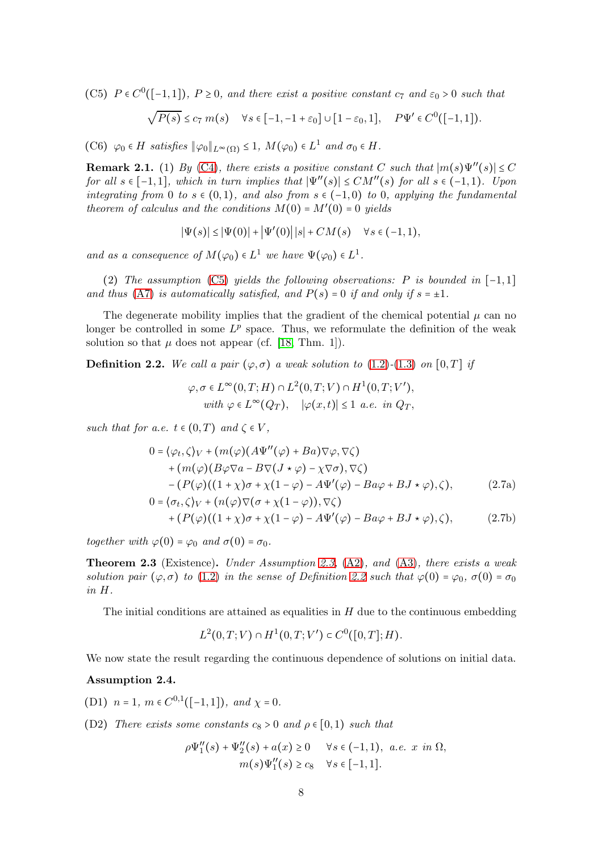<span id="page-7-1"></span>(C5)  $P \in C^0([-1,1])$ ,  $P \ge 0$ , and there exist a positive constant  $c_7$  and  $\varepsilon_0 > 0$  such that

$$
\sqrt{P(s)} \le c_7 m(s) \quad \forall s \in [-1, -1 + \varepsilon_0] \cup [1 - \varepsilon_0, 1], \quad P\Psi' \in C^0([-1, 1]).
$$

<span id="page-7-5"></span>(C6)  $\varphi_0 \in H$  satisfies  $\|\varphi_0\|_{L^{\infty}(\Omega)} \leq 1$ ,  $M(\varphi_0) \in L^1$  and  $\sigma_0 \in H$ .

**Remark 2.1.** (1) By [\(C4\)](#page-6-4), there exists a positive constant C such that  $|m(s)\Psi''(s)| \leq C$ for all  $s \in [-1,1]$ , which in turn implies that  $|\Psi''(s)| \le CM''(s)$  for all  $s \in (-1,1)$ . Upon integrating from 0 to  $s \in (0,1)$ , and also from  $s \in (-1,0)$  to 0, applying the fundamental theorem of calculus and the conditions  $M(0) = M'(0) = 0$  yields

$$
|\Psi(s)| \leq |\Psi(0)| + |\Psi'(0)| |s| + CM(s) \quad \forall s \in (-1, 1),
$$

and as a consequence of  $M(\varphi_0) \in L^1$  we have  $\Psi(\varphi_0) \in L^1$ .

(2) The assumption [\(C5\)](#page-7-1) yields the following observations: P is bounded in  $[-1,1]$ and thus [\(A7\)](#page-5-1) is automatically satisfied, and  $P(s) = 0$  if and only if  $s = \pm 1$ .

The degenerate mobility implies that the gradient of the chemical potential  $\mu$  can no longer be controlled in some  $L^p$  space. Thus, we reformulate the definition of the weak solution so that  $\mu$  does not appear (cf. [\[18,](#page-25-11) Thm. 1]).

<span id="page-7-2"></span>**Definition 2.2.** We call a pair  $(\varphi, \sigma)$  a weak solution to [\(1.2\)](#page-1-0)-[\(1.3\)](#page-1-4) on [0, T] if

<span id="page-7-3"></span>
$$
\varphi, \sigma \in L^{\infty}(0, T; H) \cap L^{2}(0, T; V) \cap H^{1}(0, T; V'),
$$
  
with  $\varphi \in L^{\infty}(Q_T)$ ,  $|\varphi(x, t)| \leq 1$  a.e. in  $Q_T$ ,

such that for a.e.  $t \in (0,T)$  and  $\zeta \in V$ ,

$$
0 = \langle \varphi_t, \zeta \rangle_V + (m(\varphi)(A\Psi''(\varphi) + Ba)\nabla\varphi, \nabla\zeta) + (m(\varphi)(B\varphi\nabla a - B\nabla(J \star \varphi) - \chi \nabla \sigma), \nabla\zeta) - (P(\varphi)((1 + \chi)\sigma + \chi(1 - \varphi) - A\Psi'(\varphi) - Ba\varphi + BJ \star \varphi), \zeta), \qquad (2.7a) 0 = \langle \sigma_t, \zeta \rangle_V + (n(\varphi)\nabla(\sigma + \chi(1 - \varphi)), \nabla\zeta) + (P(\varphi)((1 + \chi)\sigma + \chi(1 - \varphi) - A\Psi'(\varphi) - Ba\varphi + BJ \star \varphi), \zeta), \qquad (2.7b)
$$

together with  $\varphi(0) = \varphi_0$  and  $\sigma(0) = \sigma_0$ .

<span id="page-7-0"></span>**Theorem 2.3** (Existence). Under Assumption [2.3,](#page-6-5)  $(A2)$ , and  $(A3)$ , there exists a weak solution pair  $(\varphi, \sigma)$  to [\(1.2\)](#page-1-0) in the sense of Definition [2.2](#page-7-2) such that  $\varphi(0) = \varphi_0$ ,  $\sigma(0) = \sigma_0$ in H.

The initial conditions are attained as equalities in  $H$  due to the continuous embedding

$$
L^{2}(0,T;V) \cap H^{1}(0,T;V') \subset C^{0}([0,T];H).
$$

We now state the result regarding the continuous dependence of solutions on initial data.

### <span id="page-7-6"></span><span id="page-7-4"></span>Assumption 2.4.

<span id="page-7-7"></span>(D1)  $n = 1, m \in C^{0,1}([-1,1]), and \chi = 0.$ 

(D2) There exists some constants  $c_8 > 0$  and  $\rho \in [0,1)$  such that

$$
\rho\Psi_1''(s) + \Psi_2''(s) + a(x) \ge 0 \quad \forall s \in (-1,1), \ a.e. \ x \ in \ \Omega,
$$

$$
m(s)\Psi_1''(s) \ge c_8 \quad \forall s \in [-1,1].
$$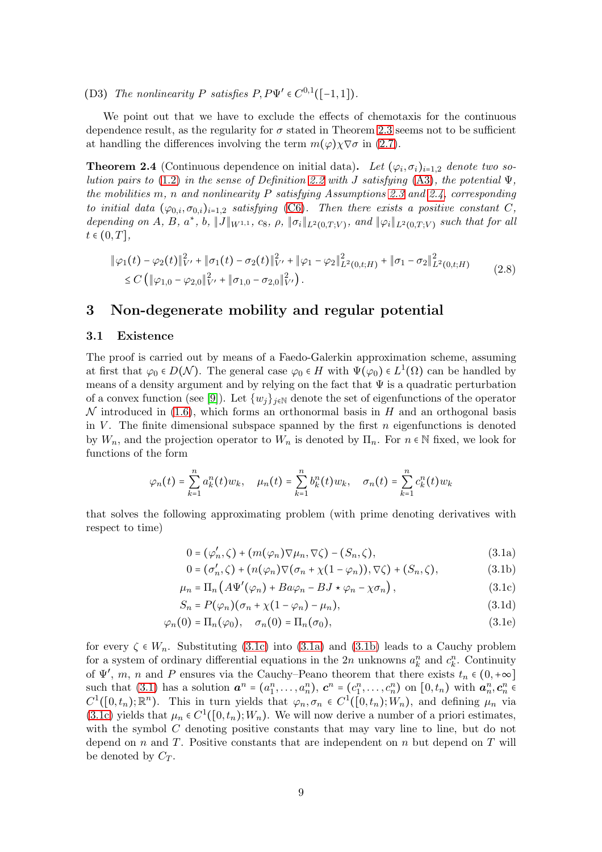(D3) The nonlinearity P satisfies  $P, P\Psi' \in C^{0,1}([-1,1])$ .

We point out that we have to exclude the effects of chemotaxis for the continuous dependence result, as the regularity for  $\sigma$  stated in Theorem [2.3](#page-7-0) seems not to be sufficient at handling the differences involving the term  $m(\varphi)\chi \nabla \sigma$  in [\(2.7\)](#page-7-3).

<span id="page-8-0"></span>**Theorem 2.4** (Continuous dependence on initial data). Let  $(\varphi_i, \sigma_i)_{i=1,2}$  denote two so-lution pairs to [\(1.2\)](#page-1-0) in the sense of Definition [2.2](#page-7-2) with J satisfying [\(A3\)](#page-4-3), the potential  $\Psi$ , the mobilities m, n and nonlinearity  $P$  satisfying Assumptions [2.3](#page-6-5) and [2.4,](#page-7-4) corresponding to initial data  $(\varphi_{0,i}, \sigma_{0,i})_{i=1,2}$  satisfying [\(C6\)](#page-7-5). Then there exists a positive constant C, depending on A, B, a<sup>\*</sup>, b,  $||J||_{W^{1,1}}$ , c<sub>8</sub>,  $\rho$ ,  $||\sigma_i||_{L^2(0,T;V)}$ , and  $||\varphi_i||_{L^2(0,T;V)}$  such that for all  $t \in (0, T],$ 

<span id="page-8-6"></span>
$$
\|\varphi_1(t) - \varphi_2(t)\|_{V'}^2 + \|\sigma_1(t) - \sigma_2(t)\|_{V'}^2 + \|\varphi_1 - \varphi_2\|_{L^2(0,t;H)}^2 + \|\sigma_1 - \sigma_2\|_{L^2(0,t;H)}^2
$$
  
\n
$$
\leq C \left( \|\varphi_{1,0} - \varphi_{2,0}\|_{V'}^2 + \|\sigma_{1,0} - \sigma_{2,0}\|_{V'}^2 \right).
$$
\n(2.8)

## <span id="page-8-1"></span>3 Non-degenerate mobility and regular potential

#### 3.1 Existence

The proof is carried out by means of a Faedo-Galerkin approximation scheme, assuming at first that  $\varphi_0 \in D(\mathcal{N})$ . The general case  $\varphi_0 \in H$  with  $\Psi(\varphi_0) \in L^1(\Omega)$  can be handled by means of a density argument and by relying on the fact that  $\Psi$  is a quadratic perturbation of a convex function (see [\[9\]](#page-24-6)). Let  $\{w_j\}_{j\in\mathbb{N}}$  denote the set of eigenfunctions of the operator  $\mathcal N$  introduced in [\(1.6\)](#page-4-5), which forms an orthonormal basis in H and an orthogonal basis in V. The finite dimensional subspace spanned by the first  $n$  eigenfunctions is denoted by  $W_n$ , and the projection operator to  $W_n$  is denoted by  $\Pi_n$ . For  $n \in \mathbb{N}$  fixed, we look for functions of the form

$$
\varphi_n(t) = \sum_{k=1}^n a_k^n(t) w_k, \quad \mu_n(t) = \sum_{k=1}^n b_k^n(t) w_k, \quad \sigma_n(t) = \sum_{k=1}^n c_k^n(t) w_k
$$

that solves the following approximating problem (with prime denoting derivatives with respect to time)

<span id="page-8-5"></span>
$$
0 = (\varphi'_n, \zeta) + (m(\varphi_n)\nabla\mu_n, \nabla\zeta) - (S_n, \zeta), \qquad (3.1a)
$$

<span id="page-8-4"></span><span id="page-8-3"></span><span id="page-8-2"></span>
$$
0 = (\sigma'_n, \zeta) + (n(\varphi_n)\nabla(\sigma_n + \chi(1 - \varphi_n)), \nabla\zeta) + (S_n, \zeta),
$$
\n(3.1b)

$$
\mu_n = \Pi_n \left( A \Psi'(\varphi_n) + B a \varphi_n - B J \star \varphi_n - \chi \sigma_n \right), \tag{3.1c}
$$

$$
S_n = P(\varphi_n)(\sigma_n + \chi(1 - \varphi_n) - \mu_n), \tag{3.1d}
$$

$$
\varphi_n(0) = \Pi_n(\varphi_0), \quad \sigma_n(0) = \Pi_n(\sigma_0), \tag{3.1e}
$$

for every  $\zeta \in W_n$ . Substituting [\(3.1c\)](#page-8-2) into [\(3.1a\)](#page-8-3) and [\(3.1b\)](#page-8-4) leads to a Cauchy problem for a system of ordinary differential equations in the 2n unknowns  $a_k^n$  and  $c_k^n$ . Continuity of  $\Psi'$ , m, n and P ensures via the Cauchy–Peano theorem that there exists  $t_n \in (0, +\infty]$ such that [\(3.1\)](#page-8-5) has a solution  $a^n = (a_1^n, \ldots, a_n^n)$ ,  $c^n = (c_1^n, \ldots, c_n^n)$  on  $[0, t_n)$  with  $a_n^n, c_n^n \in$  $C^1([0,t_n);\mathbb{R}^n)$ . This in turn yields that  $\varphi_n, \sigma_n \in C^1([0,t_n);W_n)$ , and defining  $\mu_n$  via [\(3.1c\)](#page-8-2) yields that  $\mu_n \in C^1([0, t_n); W_n)$ . We will now derive a number of a priori estimates, with the symbol  $C$  denoting positive constants that may vary line to line, but do not depend on n and T. Positive constants that are independent on n but depend on T will be denoted by  $C_T$ .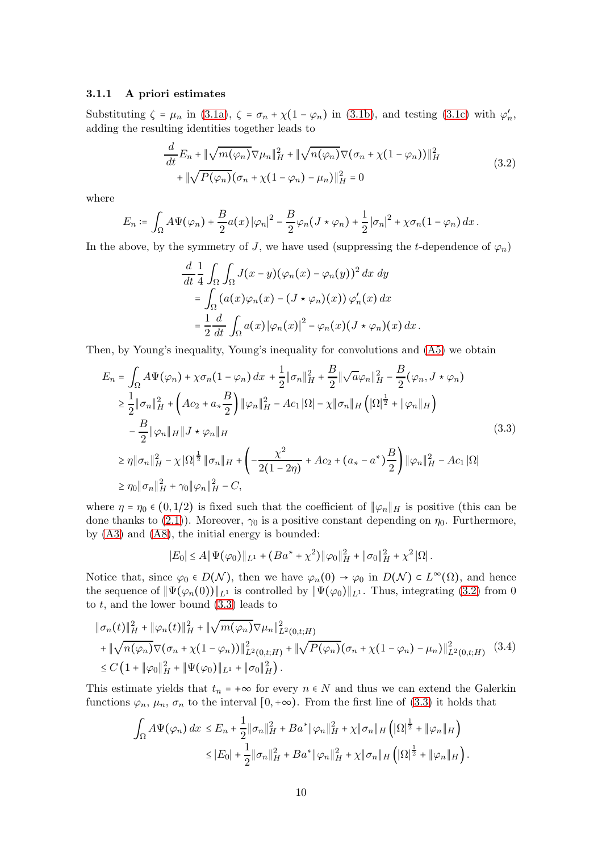#### 3.1.1 A priori estimates

Substituting  $\zeta = \mu_n$  in [\(3.1a\)](#page-8-3),  $\zeta = \sigma_n + \chi(1 - \varphi_n)$  in [\(3.1b\)](#page-8-4), and testing [\(3.1c\)](#page-8-2) with  $\varphi'_n$ , adding the resulting identities together leads to

<span id="page-9-0"></span>
$$
\frac{d}{dt}E_n + \|\sqrt{m(\varphi_n)}\nabla\mu_n\|_H^2 + \|\sqrt{n(\varphi_n)}\nabla(\sigma_n + \chi(1-\varphi_n))\|_H^2
$$
\n
$$
+ \|\sqrt{P(\varphi_n)}(\sigma_n + \chi(1-\varphi_n) - \mu_n)\|_H^2 = 0
$$
\n(3.2)

where

$$
E_n \coloneqq \int_{\Omega} A \Psi(\varphi_n) + \frac{B}{2} a(x) |\varphi_n|^2 - \frac{B}{2} \varphi_n (J \star \varphi_n) + \frac{1}{2} |\sigma_n|^2 + \chi \sigma_n (1 - \varphi_n) dx.
$$

In the above, by the symmetry of J, we have used (suppressing the t-dependence of  $\varphi_n$ )

$$
\frac{d}{dt} \frac{1}{4} \int_{\Omega} \int_{\Omega} J(x - y) (\varphi_n(x) - \varphi_n(y))^2 dx dy
$$
  
= 
$$
\int_{\Omega} (a(x) \varphi_n(x) - (J \star \varphi_n)(x)) \varphi_n'(x) dx
$$
  
= 
$$
\frac{1}{2} \frac{d}{dt} \int_{\Omega} a(x) |\varphi_n(x)|^2 - \varphi_n(x) (J \star \varphi_n)(x) dx.
$$

Then, by Young's inequality, Young's inequality for convolutions and [\(A5\)](#page-4-6) we obtain

<span id="page-9-1"></span>
$$
E_{n} = \int_{\Omega} A\Psi(\varphi_{n}) + \chi \sigma_{n} (1 - \varphi_{n}) dx + \frac{1}{2} \|\sigma_{n}\|_{H}^{2} + \frac{B}{2} \|\sqrt{a}\varphi_{n}\|_{H}^{2} - \frac{B}{2} (\varphi_{n}, J \star \varphi_{n})
$$
  
\n
$$
\geq \frac{1}{2} \|\sigma_{n}\|_{H}^{2} + \left( Ac_{2} + a_{*} \frac{B}{2} \right) \|\varphi_{n}\|_{H}^{2} - Ac_{1} |\Omega| - \chi \|\sigma_{n}\|_{H} \left( |\Omega|^{1/2} + \|\varphi_{n}\|_{H} \right)
$$
  
\n
$$
- \frac{B}{2} \|\varphi_{n}\|_{H} \|J \star \varphi_{n}\|_{H}
$$
  
\n
$$
\geq \eta \|\sigma_{n}\|_{H}^{2} - \chi |\Omega|^{1/2} \|\sigma_{n}\|_{H} + \left( -\frac{\chi^{2}}{2(1 - 2\eta)} + Ac_{2} + (a_{*} - a^{*}) \frac{B}{2} \right) \|\varphi_{n}\|_{H}^{2} - Ac_{1} |\Omega|
$$
  
\n
$$
\geq \eta_{0} \|\sigma_{n}\|_{H}^{2} + \gamma_{0} \|\varphi_{n}\|_{H}^{2} - C,
$$
  
\n(3.3)

where  $\eta = \eta_0 \in (0, 1/2)$  is fixed such that the coefficient of  $\|\varphi_n\|_H$  is positive (this can be done thanks to [\(2.1\)](#page-4-7)). Moreover,  $\gamma_0$  is a positive constant depending on  $\eta_0$ . Furthermore, by [\(A3\)](#page-4-3) and [\(A8\)](#page-5-4), the initial energy is bounded:

$$
|E_0| \le A \|\Psi(\varphi_0)\|_{L^1} + (Ba^* + \chi^2) \|\varphi_0\|_H^2 + \|\sigma_0\|_H^2 + \chi^2 |\Omega|.
$$

Notice that, since  $\varphi_0 \in D(\mathcal{N})$ , then we have  $\varphi_n(0) \to \varphi_0$  in  $D(\mathcal{N}) \subset L^{\infty}(\Omega)$ , and hence the sequence of  $\Psi(\varphi_n(0))\|_{L^1}$  is controlled by  $\Psi(\varphi_0)\|_{L^1}$ . Thus, integrating [\(3.2\)](#page-9-0) from 0 to  $t$ , and the lower bound  $(3.3)$  leads to

<span id="page-9-2"></span>
$$
\|\sigma_n(t)\|_H^2 + \|\varphi_n(t)\|_H^2 + \|\sqrt{m(\varphi_n)}\nabla\mu_n\|_{L^2(0,t;H)}^2 + \|\sqrt{n(\varphi_n)}\nabla(\sigma_n + \chi(1-\varphi_n))\|_{L^2(0,t;H)}^2 + \|\sqrt{P(\varphi_n)}(\sigma_n + \chi(1-\varphi_n) - \mu_n)\|_{L^2(0,t;H)}^2 \quad (3.4)
$$
  
\n
$$
\leq C\left(1 + \|\varphi_0\|_H^2 + \|\Psi(\varphi_0)\|_{L^1} + \|\sigma_0\|_H^2\right).
$$

This estimate yields that  $t_n = +\infty$  for every  $n \in N$  and thus we can extend the Galerkin functions  $\varphi_n$ ,  $\mu_n$ ,  $\sigma_n$  to the interval  $[0, +\infty)$ . From the first line of [\(3.3\)](#page-9-1) it holds that

$$
\int_{\Omega} A\Psi(\varphi_n) dx \leq E_n + \frac{1}{2} \|\sigma_n\|_H^2 + B a^* \|\varphi_n\|_H^2 + \chi \|\sigma_n\|_H \left( |\Omega|^{\frac{1}{2}} + \|\varphi_n\|_H \right)
$$
  

$$
\leq |E_0| + \frac{1}{2} \|\sigma_n\|_H^2 + B a^* \|\varphi_n\|_H^2 + \chi \|\sigma_n\|_H \left( |\Omega|^{\frac{1}{2}} + \|\varphi_n\|_H \right).
$$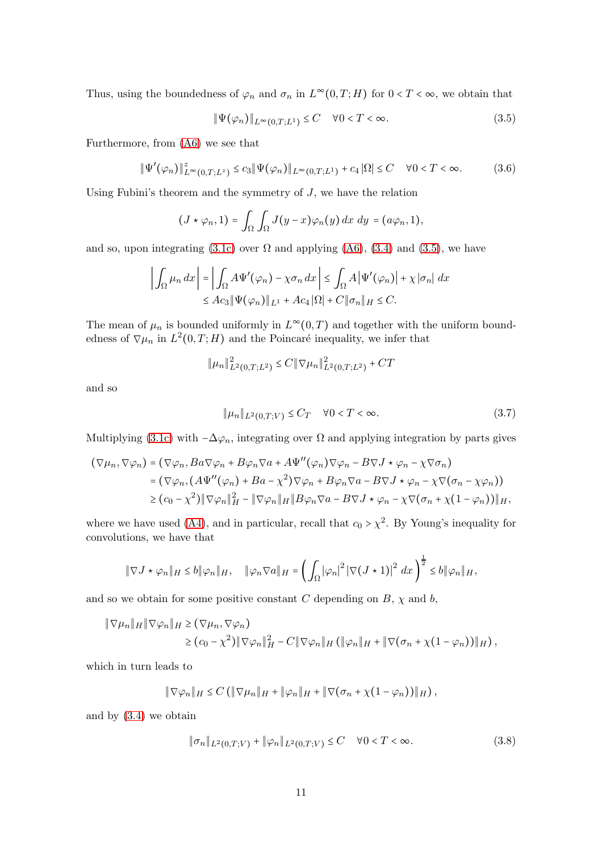Thus, using the boundedness of  $\varphi_n$  and  $\sigma_n$  in  $L^{\infty}(0,T;H)$  for  $0 < T < \infty$ , we obtain that

<span id="page-10-3"></span><span id="page-10-0"></span>
$$
\|\Psi(\varphi_n)\|_{L^{\infty}(0,T;L^1)} \le C \quad \forall 0 < T < \infty.
$$
\n(3.5)

Furthermore, from [\(A6\)](#page-5-5) we see that

$$
\|\Psi'(\varphi_n)\|_{L^{\infty}(0,T;L^z)}^z \le c_3 \|\Psi(\varphi_n)\|_{L^{\infty}(0,T;L^1)} + c_4 |\Omega| \le C \quad \forall 0 < T < \infty.
$$
 (3.6)

Using Fubini's theorem and the symmetry of  $J$ , we have the relation

$$
(J\star\varphi_n,1)=\int_{\Omega}\int_{\Omega}J(y-x)\varphi_n(y)\,dx\,dy=(a\varphi_n,1),
$$

and so, upon integrating [\(3.1c\)](#page-8-2) over  $\Omega$  and applying [\(A6\)](#page-5-5), [\(3.4\)](#page-9-2) and [\(3.5\)](#page-10-0), we have

$$
\left| \int_{\Omega} \mu_n \, dx \right| = \left| \int_{\Omega} A \Psi'(\varphi_n) - \chi \sigma_n \, dx \right| \leq \int_{\Omega} A \left| \Psi'(\varphi_n) \right| + \chi \left| \sigma_n \right| \, dx
$$
  

$$
\leq A c_3 \|\Psi(\varphi_n)\|_{L^1} + A c_4 \|\Omega\| + C \|\sigma_n\|_{H} \leq C.
$$

The mean of  $\mu_n$  is bounded uniformly in  $L^{\infty}(0,T)$  and together with the uniform boundedness of  $\nabla \mu_n$  in  $L^2(0,T;H)$  and the Poincaré inequality, we infer that

$$
\|\mu_n\|_{L^2(0,T;L^2)}^2 \le C \|\nabla \mu_n\|_{L^2(0,T;L^2)}^2 + CT
$$

and so

<span id="page-10-1"></span>
$$
\|\mu_n\|_{L^2(0,T;V)} \le C_T \quad \forall 0 < T < \infty. \tag{3.7}
$$

Multiplying [\(3.1c\)](#page-8-2) with  $-\Delta\varphi_n$ , integrating over  $\Omega$  and applying integration by parts gives

$$
(\nabla \mu_n, \nabla \varphi_n) = (\nabla \varphi_n, Ba\nabla \varphi_n + B\varphi_n \nabla a + A\Psi''(\varphi_n)\nabla \varphi_n - B\nabla J \star \varphi_n - \chi \nabla \sigma_n)
$$
  
=  $(\nabla \varphi_n, (A\Psi''(\varphi_n) + Ba - \chi^2)\nabla \varphi_n + B\varphi_n \nabla a - B\nabla J \star \varphi_n - \chi \nabla (\sigma_n - \chi \varphi_n))$   
 $\geq (c_0 - \chi^2) \|\nabla \varphi_n\|_H^2 - \|\nabla \varphi_n\|_H \|B\varphi_n \nabla a - B\nabla J \star \varphi_n - \chi \nabla (\sigma_n + \chi(1 - \varphi_n))\|_H,$ 

where we have used [\(A4\)](#page-4-1), and in particular, recall that  $c_0 > \chi^2$ . By Young's inequality for convolutions, we have that

$$
\|\nabla J\star\varphi_n\|_H\leq b\|\varphi_n\|_H,\quad \|\varphi_n\nabla a\|_H=\left(\int_\Omega|\varphi_n|^2\left|\nabla (J\star 1)\right|^2\,dx\right)^{\frac{1}{2}}\leq b\|\varphi_n\|_H,
$$

and so we obtain for some positive constant C depending on  $B$ ,  $\chi$  and  $b$ ,

$$
\|\nabla\mu_n\|_H \|\nabla\varphi_n\|_H \geq (\nabla\mu_n, \nabla\varphi_n)
$$
  
\n
$$
\geq (c_0 - \chi^2) \|\nabla\varphi_n\|_H^2 - C \|\nabla\varphi_n\|_H (\|\varphi_n\|_H + \|\nabla(\sigma_n + \chi(1 - \varphi_n))\|_H),
$$

which in turn leads to

$$
\|\nabla \varphi_n\|_H \leq C \left( \|\nabla \mu_n\|_H + \|\varphi_n\|_H + \|\nabla (\sigma_n + \chi(1-\varphi_n))\|_H \right),\,
$$

and by [\(3.4\)](#page-9-2) we obtain

<span id="page-10-2"></span>
$$
\|\sigma_n\|_{L^2(0,T;V)} + \|\varphi_n\|_{L^2(0,T;V)} \le C \quad \forall 0 < T < \infty.
$$
 (3.8)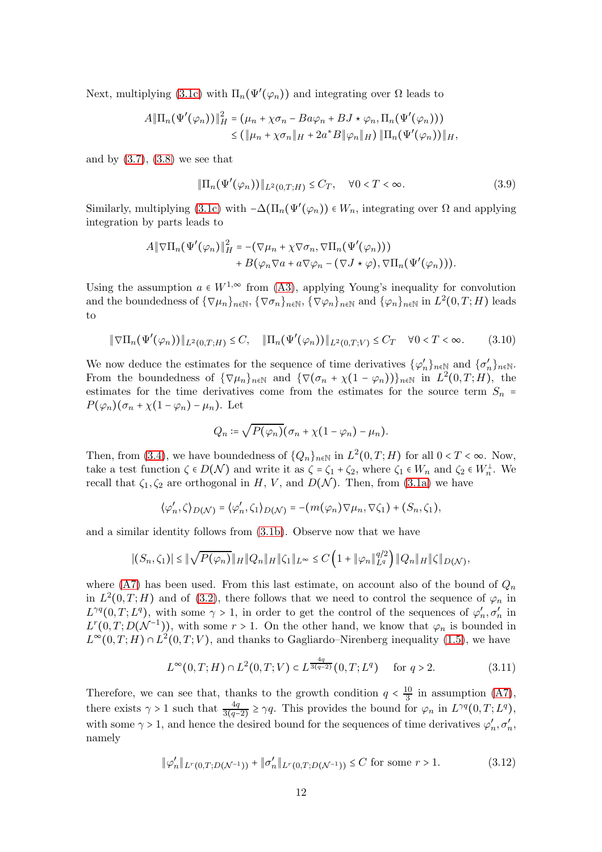Next, multiplying [\(3.1c\)](#page-8-2) with  $\Pi_n(\Psi'(\varphi_n))$  and integrating over  $\Omega$  leads to

$$
A\|\Pi_n(\Psi'(\varphi_n))\|_H^2 = (\mu_n + \chi \sigma_n - Ba\varphi_n + BJ \star \varphi_n, \Pi_n(\Psi'(\varphi_n)))
$$
  

$$
\leq (\|\mu_n + \chi \sigma_n\|_H + 2a^*B\|\varphi_n\|_H) \|\Pi_n(\Psi'(\varphi_n))\|_H,
$$

and by  $(3.7), (3.8)$  $(3.7), (3.8)$  we see that

$$
\|\Pi_n(\Psi'(\varphi_n))\|_{L^2(0,T;H)} \le C_T, \quad \forall 0 < T < \infty.
$$
\n(3.9)

Similarly, multiplying [\(3.1c\)](#page-8-2) with  $-\Delta(\Pi_n(\Psi'(\varphi_n)) \in W_n$ , integrating over  $\Omega$  and applying integration by parts leads to

$$
A \|\nabla \Pi_n(\Psi'(\varphi_n)\|_H^2 = -(\nabla \mu_n + \chi \nabla \sigma_n, \nabla \Pi_n(\Psi'(\varphi_n)))
$$
  
+ 
$$
B(\varphi_n \nabla a + a \nabla \varphi_n - (\nabla J \star \varphi), \nabla \Pi_n(\Psi'(\varphi_n))).
$$

Using the assumption  $a \in W^{1,\infty}$  from [\(A3\)](#page-4-3), applying Young's inequality for convolution and the boundedness of  $\{\nabla \mu_n\}_{n\in\mathbb{N}}$ ,  $\{\nabla \sigma_n\}_{n\in\mathbb{N}}$ ,  $\{\nabla \varphi_n\}_{n\in\mathbb{N}}$  and  $\{\varphi_n\}_{n\in\mathbb{N}}$  in  $L^2(0,T;H)$  leads to

$$
\|\nabla\Pi_n(\Psi'(\varphi_n))\|_{L^2(0,T;H)} \le C, \quad \|\Pi_n(\Psi'(\varphi_n))\|_{L^2(0,T;V)} \le C_T \quad \forall 0 < T < \infty.
$$
 (3.10)

We now deduce the estimates for the sequence of time derivatives  $\{\varphi'_n\}_{n\in\mathbb{N}}$  and  $\{\sigma'_n\}_{n\in\mathbb{N}}$ . From the boundedness of  $\{\nabla \mu_n\}_{n\in\mathbb{N}}$  and  $\{\nabla (\sigma_n + \chi(1-\varphi_n))\}_{n\in\mathbb{N}}$  in  $L^2(0,T;H)$ , the estimates for the time derivatives come from the estimates for the source term  $S_n$  =  $P(\varphi_n)(\sigma_n + \chi(1-\varphi_n) - \mu_n)$ . Let

<span id="page-11-1"></span>
$$
Q_n \coloneqq \sqrt{P(\varphi_n)}(\sigma_n + \chi(1 - \varphi_n) - \mu_n).
$$

Then, from [\(3.4\)](#page-9-2), we have boundedness of  $\{Q_n\}_{n\in\mathbb{N}}$  in  $L^2(0,T;H)$  for all  $0 < T < \infty$ . Now, take a test function  $\zeta \in D(\mathcal{N})$  and write it as  $\zeta = \zeta_1 + \zeta_2$ , where  $\zeta_1 \in W_n$  and  $\zeta_2 \in W_n^{\perp}$ . We recall that  $\zeta_1, \zeta_2$  are orthogonal in H, V, and  $D(\mathcal{N})$ . Then, from [\(3.1a\)](#page-8-3) we have

$$
\langle \varphi'_n, \zeta \rangle_{D(\mathcal{N})} = \langle \varphi'_n, \zeta_1 \rangle_{D(\mathcal{N})} = -(m(\varphi_n) \nabla \mu_n, \nabla \zeta_1) + (S_n, \zeta_1),
$$

and a similar identity follows from [\(3.1b\)](#page-8-4). Observe now that we have

$$
|(S_n,\zeta_1)| \leq \|\sqrt{P(\varphi_n)}\|_H \|Q_n\|_H \|\zeta_1\|_{L^{\infty}} \leq C\left(1 + \|\varphi_n\|_{L^q}^{q/2}\right) \|Q_n\|_H \|\zeta\|_{D(\mathcal{N})},
$$

where [\(A7\)](#page-5-1) has been used. From this last estimate, on account also of the bound of  $Q_n$ in  $L^2(0,T;H)$  and of [\(3.2\)](#page-9-0), there follows that we need to control the sequence of  $\varphi_n$  in  $L^{\gamma q}(0,T;L^q)$ , with some  $\gamma > 1$ , in order to get the control of the sequences of  $\varphi'_n, \sigma'_n$  in  $L^r(0,T;D(\mathcal{N}^{-1}))$ , with some  $r>1$ . On the other hand, we know that  $\varphi_n$  is bounded in  $L^{\infty}(0,T;H) \cap L^{2}(0,T;V)$ , and thanks to Gagliardo–Nirenberg inequality [\(1.5\)](#page-3-0), we have

<span id="page-11-2"></span>
$$
L^{\infty}(0,T;H) \cap L^{2}(0,T;V) \subset L^{\frac{4q}{3(q-2)}}(0,T;L^{q}) \quad \text{for } q > 2.
$$
 (3.11)

Therefore, we can see that, thanks to the growth condition  $q < \frac{10}{3}$  $\frac{10}{3}$  in assumption [\(A7\)](#page-5-1), there exists  $\gamma > 1$  such that  $\frac{4q}{3(q-2)} \ge \gamma q$ . This provides the bound for  $\varphi_n$  in  $L^{\gamma q}(0,T;L^q)$ , with some  $\gamma > 1$ , and hence the desired bound for the sequences of time derivatives  $\varphi'_n, \sigma'_n$ , namely

<span id="page-11-0"></span>
$$
\|\varphi_n'\|_{L^r(0,T;D(\mathcal{N}^{-1}))} + \|\sigma_n'\|_{L^r(0,T;D(\mathcal{N}^{-1}))} \le C \text{ for some } r > 1.
$$
 (3.12)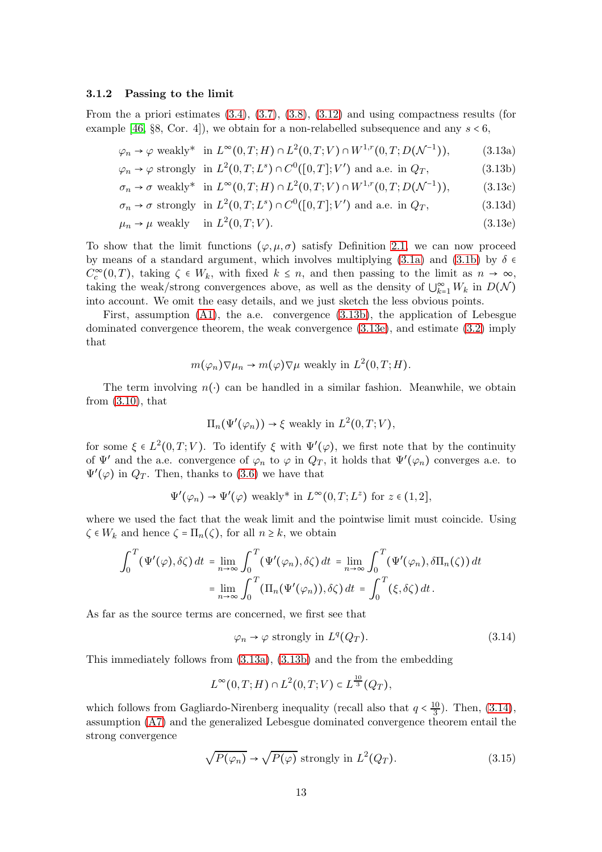#### <span id="page-12-5"></span>3.1.2 Passing to the limit

From the a priori estimates [\(3.4\)](#page-9-2), [\(3.7\)](#page-10-1), [\(3.8\)](#page-10-2), [\(3.12\)](#page-11-0) and using compactness results (for example [\[46,](#page-27-6) §8, Cor. 4]), we obtain for a non-relabelled subsequence and any  $s < 6$ ,

<span id="page-12-2"></span>
$$
\varphi_n \to \varphi \text{ weakly* in } L^{\infty}(0, T; H) \cap L^2(0, T; V) \cap W^{1,r}(0, T; D(\mathcal{N}^{-1})), \tag{3.13a}
$$

$$
\varphi_n \to \varphi
$$
 strongly in  $L^2(0,T;L^s) \cap C^0([0,T];V')$  and a.e. in  $Q_T$ , (3.13b)

$$
\sigma_n \to \sigma
$$
 weakly\* in  $L^{\infty}(0,T;H) \cap L^2(0,T;V) \cap W^{1,r}(0,T;D(\mathcal{N}^{-1})),$  (3.13c)

$$
\sigma_n \to \sigma \text{ strongly in } L^2(0, T; L^s) \cap C^0([0, T]; V') \text{ and a.e. in } Q_T,
$$
\n(3.13d)

$$
\mu_n \to \mu \text{ weakly in } L^2(0, T; V). \tag{3.13e}
$$

To show that the limit functions  $(\varphi, \mu, \sigma)$  satisfy Definition [2.1,](#page-5-2) we can now proceed by means of a standard argument, which involves multiplying [\(3.1a\)](#page-8-3) and [\(3.1b\)](#page-8-4) by  $\delta \in$  $C_c^{\infty}(0,T)$ , taking  $\zeta \in W_k$ , with fixed  $k \leq n$ , and then passing to the limit as  $n \to \infty$ , taking the weak/strong convergences above, as well as the density of  $\bigcup_{k=1}^{\infty} W_k$  in  $D(\mathcal{N})$ into account. We omit the easy details, and we just sketch the less obvious points.

First, assumption  $(A1)$ , the a.e. convergence  $(3.13b)$ , the application of Lebesgue dominated convergence theorem, the weak convergence [\(3.13e\)](#page-12-1), and estimate [\(3.2\)](#page-9-0) imply that

<span id="page-12-1"></span><span id="page-12-0"></span>
$$
m(\varphi_n)\nabla\mu_n \to m(\varphi)\nabla\mu
$$
 weakly in  $L^2(0,T;H)$ .

The term involving  $n(\cdot)$  can be handled in a similar fashion. Meanwhile, we obtain from [\(3.10\)](#page-11-1), that

$$
\Pi_n(\Psi'(\varphi_n)) \to \xi
$$
 weakly in  $L^2(0,T;V)$ ,

for some  $\xi \in L^2(0,T;V)$ . To identify  $\xi$  with  $\Psi'(\varphi)$ , we first note that by the continuity of  $\Psi'$  and the a.e. convergence of  $\varphi_n$  to  $\varphi$  in  $Q_T$ , it holds that  $\Psi'(\varphi_n)$  converges a.e. to  $\Psi'(\varphi)$  in  $Q_T$ . Then, thanks to [\(3.6\)](#page-10-3) we have that

$$
\Psi'(\varphi_n) \to \Psi'(\varphi)
$$
 weakly\* in  $L^{\infty}(0,T;L^z)$  for  $z \in (1,2]$ ,

where we used the fact that the weak limit and the pointwise limit must coincide. Using  $\zeta \in W_k$  and hence  $\zeta = \Pi_n(\zeta)$ , for all  $n \geq k$ , we obtain

$$
\int_0^T (\Psi'(\varphi), \delta \zeta) dt = \lim_{n \to \infty} \int_0^T (\Psi'(\varphi_n), \delta \zeta) dt = \lim_{n \to \infty} \int_0^T (\Psi'(\varphi_n), \delta \Pi_n(\zeta)) dt
$$

$$
= \lim_{n \to \infty} \int_0^T (\Pi_n(\Psi'(\varphi_n)), \delta \zeta) dt = \int_0^T (\xi, \delta \zeta) dt.
$$

As far as the source terms are concerned, we first see that

<span id="page-12-4"></span><span id="page-12-3"></span>
$$
\varphi_n \to \varphi \text{ strongly in } L^q(Q_T). \tag{3.14}
$$

This immediately follows from [\(3.13a\)](#page-12-2), [\(3.13b\)](#page-12-0) and the from the embedding

$$
L^{\infty}(0,T;H) \cap L^{2}(0,T;V) \subset L^{\frac{10}{3}}(Q_T),
$$

which follows from Gagliardo-Nirenberg inequality (recall also that  $q < \frac{10}{3}$  $\frac{10}{3}$ ). Then, [\(3.14\)](#page-12-3), assumption [\(A7\)](#page-5-1) and the generalized Lebesgue dominated convergence theorem entail the strong convergence

$$
\sqrt{P(\varphi_n)} \to \sqrt{P(\varphi)} \text{ strongly in } L^2(Q_T). \tag{3.15}
$$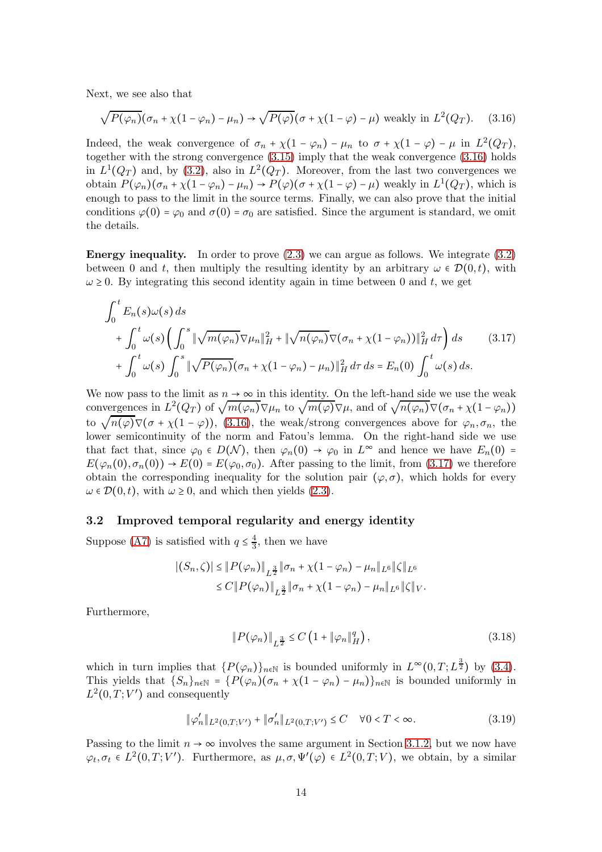Next, we see also that

<span id="page-13-0"></span>
$$
\sqrt{P(\varphi_n)}(\sigma_n + \chi(1 - \varphi_n) - \mu_n) \to \sqrt{P(\varphi)}(\sigma + \chi(1 - \varphi) - \mu)
$$
 weakly in  $L^2(Q_T)$ . (3.16)

Indeed, the weak convergence of  $\sigma_n + \chi(1 - \varphi_n) - \mu_n$  to  $\sigma + \chi(1 - \varphi) - \mu$  in  $L^2(Q_T)$ , together with the strong convergence [\(3.15\)](#page-12-4) imply that the weak convergence [\(3.16\)](#page-13-0) holds in  $L^1(Q_T)$  and, by [\(3.2\)](#page-9-0), also in  $L^2(Q_T)$ . Moreover, from the last two convergences we obtain  $P(\varphi_n)(\sigma_n + \chi(1-\varphi_n) - \mu_n) \to P(\varphi)(\sigma + \chi(1-\varphi) - \mu)$  weakly in  $L^1(Q_T)$ , which is enough to pass to the limit in the source terms. Finally, we can also prove that the initial conditions  $\varphi(0) = \varphi_0$  and  $\sigma(0) = \sigma_0$  are satisfied. Since the argument is standard, we omit the details.

**Energy inequality.** In order to prove  $(2.3)$  we can argue as follows. We integrate  $(3.2)$ between 0 and t, then multiply the resulting identity by an arbitrary  $\omega \in \mathcal{D}(0,t)$ , with  $\omega \geq 0$ . By integrating this second identity again in time between 0 and t, we get

<span id="page-13-1"></span>
$$
\int_0^t E_n(s)\omega(s) ds
$$
  
+ 
$$
\int_0^t \omega(s) \left( \int_0^s \|\sqrt{m(\varphi_n)}\nabla \mu_n\|_H^2 + \|\sqrt{n(\varphi_n)}\nabla (\sigma_n + \chi(1-\varphi_n))\|_H^2 d\tau \right) ds
$$
 (3.17)  
+ 
$$
\int_0^t \omega(s) \int_0^s \|\sqrt{P(\varphi_n)}(\sigma_n + \chi(1-\varphi_n) - \mu_n)\|_H^2 d\tau ds = E_n(0) \int_0^t \omega(s) ds.
$$

We now pass to the limit as  $n \to \infty$  in this identity. On the left-hand side we use the weak we now pass to the finite as  $h \to \infty$  in this identity. On the fert-hand side we use the weak<br>convergences in  $L^2(Q_T)$  of  $\sqrt{m(\varphi_n)}\nabla\mu_n$  to  $\sqrt{m(\varphi)}\nabla\mu$ , and of  $\sqrt{n(\varphi_n)}\nabla(\sigma_n + \chi(1 - \varphi_n))$ to  $\sqrt{n(\varphi)}\nabla(\sigma + \chi(1-\varphi))$ , [\(3.16\)](#page-13-0), the weak/strong convergences above for  $\varphi_n, \sigma_n$ , the lower semicontinuity of the norm and Fatou's lemma. On the right-hand side we use that fact that, since  $\varphi_0 \in D(\mathcal{N})$ , then  $\varphi_n(0) \to \varphi_0$  in  $L^{\infty}$  and hence we have  $E_n(0)$  =  $E(\varphi_n(0), \sigma_n(0)) \to E(0) = E(\varphi_0, \sigma_0)$ . After passing to the limit, from [\(3.17\)](#page-13-1) we therefore obtain the corresponding inequality for the solution pair  $(\varphi, \sigma)$ , which holds for every  $\omega \in \mathcal{D}(0,t)$ , with  $\omega \geq 0$ , and which then yields [\(2.3\)](#page-5-3).

#### 3.2 Improved temporal regularity and energy identity

Suppose [\(A7\)](#page-5-1) is satisfied with  $q \leq \frac{4}{3}$  $\frac{4}{3}$ , then we have

$$
|(S_n, \zeta)| \leq ||P(\varphi_n)||_{L^{\frac{3}{2}}} ||\sigma_n + \chi(1 - \varphi_n) - \mu_n||_{L^6} ||\zeta||_{L^6}
$$
  

$$
\leq C ||P(\varphi_n)||_{L^{\frac{3}{2}}} ||\sigma_n + \chi(1 - \varphi_n) - \mu_n||_{L^6} ||\zeta||_V.
$$

Furthermore,

$$
||P(\varphi_n)||_{L^{\frac{3}{2}}} \leq C\left(1 + ||\varphi_n||_H^q\right),\tag{3.18}
$$

which in turn implies that  $\{P(\varphi_n)\}_{n\in\mathbb{N}}$  is bounded uniformly in  $L^{\infty}(0,T;L^{\frac{3}{2}})$  by  $(3.4)$ . This yields that  ${S_n}_{n\in\mathbb{N}} = {P(\varphi_n)(\sigma_n + \chi(1-\varphi_n) - \mu_n)}_{n\in\mathbb{N}}$  is bounded uniformly in  $L^2(0,T;V')$  and consequently

$$
\|\varphi_n'\|_{L^2(0,T;V')} + \|\sigma_n'\|_{L^2(0,T;V')} \le C \quad \forall 0 < T < \infty.
$$
 (3.19)

Passing to the limit  $n \to \infty$  involves the same argument in Section [3.1.2,](#page-12-5) but we now have  $\varphi_t, \sigma_t \in L^2(0,T;V')$ . Furthermore, as  $\mu, \sigma, \Psi'(\varphi) \in L^2(0,T;V)$ , we obtain, by a similar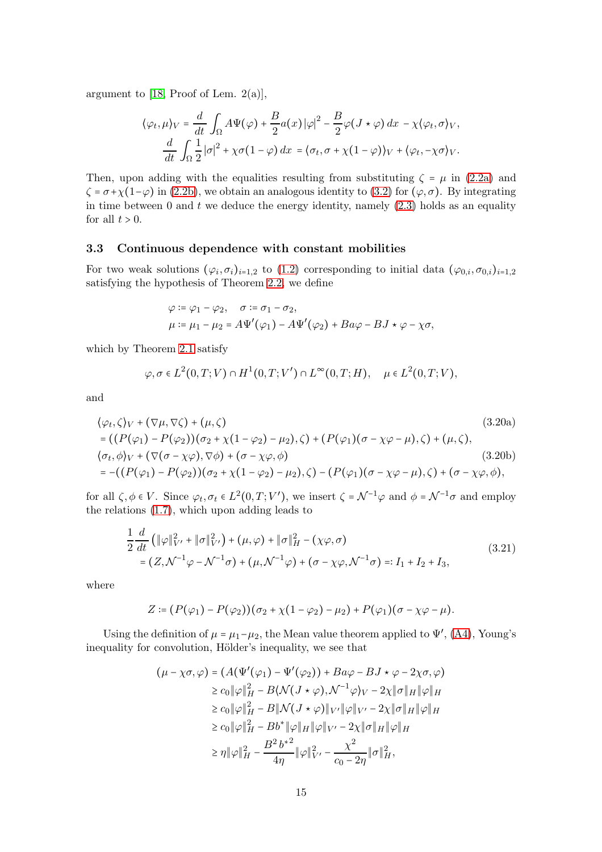argument to [\[18,](#page-25-11) Proof of Lem. 2(a)],

$$
\langle \varphi_t, \mu \rangle_V = \frac{d}{dt} \int_{\Omega} A \Psi(\varphi) + \frac{B}{2} a(x) |\varphi|^2 - \frac{B}{2} \varphi (J \star \varphi) dx - \chi \langle \varphi_t, \sigma \rangle_V,
$$
  

$$
\frac{d}{dt} \int_{\Omega} \frac{1}{2} |\sigma|^2 + \chi \sigma (1 - \varphi) dx = \langle \sigma_t, \sigma + \chi (1 - \varphi) \rangle_V + \langle \varphi_t, -\chi \sigma \rangle_V.
$$

Then, upon adding with the equalities resulting from substituting  $\zeta = \mu$  in [\(2.2a\)](#page-5-6) and  $\zeta = \sigma + \chi(1-\varphi)$  in [\(2.2b\)](#page-5-7), we obtain an analogous identity to [\(3.2\)](#page-9-0) for  $(\varphi, \sigma)$ . By integrating in time between 0 and  $t$  we deduce the energy identity, namely  $(2.3)$  holds as an equality for all  $t > 0$ .

#### 3.3 Continuous dependence with constant mobilities

For two weak solutions  $(\varphi_i, \sigma_i)_{i=1,2}$  to [\(1.2\)](#page-1-0) corresponding to initial data  $(\varphi_{0,i}, \sigma_{0,i})_{i=1,2}$ satisfying the hypothesis of Theorem [2.2,](#page-6-0) we define

$$
\varphi := \varphi_1 - \varphi_2, \quad \sigma := \sigma_1 - \sigma_2,
$$
  

$$
\mu := \mu_1 - \mu_2 = A\Psi'(\varphi_1) - A\Psi'(\varphi_2) + Ba\varphi - BJ \star \varphi - \chi\sigma,
$$

which by Theorem [2.1](#page-5-0) satisfy

$$
\varphi, \sigma \in L^2(0,T;V) \cap H^1(0,T;V') \cap L^\infty(0,T;H), \quad \mu \in L^2(0,T;V),
$$

and

$$
\langle \varphi_t, \zeta \rangle_V + (\nabla \mu, \nabla \zeta) + (\mu, \zeta) \tag{3.20a}
$$
\n
$$
= ((P(\varphi_1) - P(\varphi_2))(\sigma_2 + \chi(1 - \varphi_2) - \mu_2), \zeta) + (P(\varphi_1)(\sigma - \chi\varphi - \mu), \zeta) + (\mu, \zeta),
$$
\n
$$
\langle \sigma_t, \phi \rangle_V + (\nabla(\sigma - \chi\varphi), \nabla\phi) + (\sigma - \chi\varphi, \phi) \tag{3.20b}
$$
\n
$$
= -((P(\varphi_1) - P(\varphi_2))(\sigma_2 + \chi(1 - \varphi_2) - \mu_2), \zeta) - (P(\varphi_1)(\sigma - \chi\varphi - \mu), \zeta) + (\sigma - \chi\varphi, \phi),
$$

for all  $\zeta, \phi \in V$ . Since  $\varphi_t, \sigma_t \in L^2(0,T;V')$ , we insert  $\zeta = \mathcal{N}^{-1}\varphi$  and  $\phi = \mathcal{N}^{-1}\sigma$  and employ the relations [\(1.7\)](#page-4-9), which upon adding leads to

<span id="page-14-0"></span>
$$
\frac{1}{2}\frac{d}{dt}\left(\|\varphi\|_{V'}^2 + \|\sigma\|_{V'}^2\right) + (\mu, \varphi) + \|\sigma\|_H^2 - (\chi\varphi, \sigma) \n= (Z, \mathcal{N}^{-1}\varphi - \mathcal{N}^{-1}\sigma) + (\mu, \mathcal{N}^{-1}\varphi) + (\sigma - \chi\varphi, \mathcal{N}^{-1}\sigma) =: I_1 + I_2 + I_3,
$$
\n(3.21)

where

$$
Z:=(P(\varphi_1)-P(\varphi_2))(\sigma_2+\chi(1-\varphi_2)-\mu_2)+P(\varphi_1)(\sigma-\chi\varphi-\mu).
$$

Using the definition of  $\mu = \mu_1 - \mu_2$ , the Mean value theorem applied to  $\Psi'$ , [\(A4\)](#page-4-1), Young's inequality for convolution, Hölder's inequality, we see that

$$
(\mu - \chi \sigma, \varphi) = (A(\Psi'(\varphi_1) - \Psi'(\varphi_2)) + Ba\varphi - BJ \star \varphi - 2\chi \sigma, \varphi)
$$
  
\n
$$
\ge c_0 \|\varphi\|_H^2 - B\langle \mathcal{N}(J \star \varphi), \mathcal{N}^{-1}\varphi \rangle_V - 2\chi \|\sigma\|_H \|\varphi\|_H
$$
  
\n
$$
\ge c_0 \|\varphi\|_H^2 - B\|\mathcal{N}(J \star \varphi)\|_{V'} \|\varphi\|_{V'} - 2\chi \|\sigma\|_H \|\varphi\|_H
$$
  
\n
$$
\ge c_0 \|\varphi\|_H^2 - Bb^* \|\varphi\|_H \|\varphi\|_{V'} - 2\chi \|\sigma\|_H \|\varphi\|_H
$$
  
\n
$$
\ge \eta \|\varphi\|_H^2 - \frac{B^2 b^{*2}}{4\eta} \|\varphi\|_{V'}^2 - \frac{\chi^2}{c_0 - 2\eta} \|\sigma\|_H^2,
$$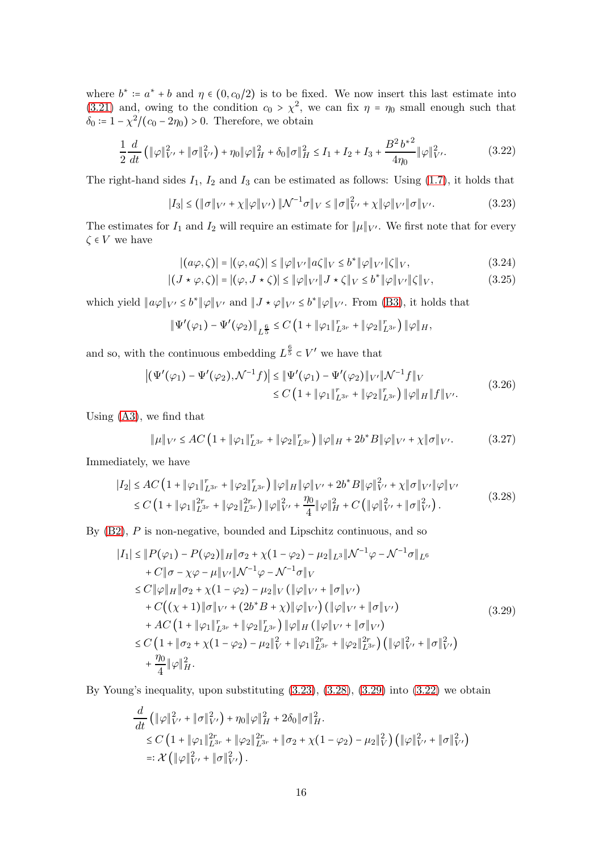where  $b^* := a^* + b$  and  $\eta \in (0, c_0/2)$  is to be fixed. We now insert this last estimate into [\(3.21\)](#page-14-0) and, owing to the condition  $c_0 > \chi^2$ , we can fix  $\eta = \eta_0$  small enough such that  $\delta_0 = 1 - \chi^2/(c_0 - 2\eta_0) > 0$ . Therefore, we obtain

<span id="page-15-3"></span>
$$
\frac{1}{2}\frac{d}{dt}\left(\|\varphi\|_{V'}^2 + \|\sigma\|_{V'}^2\right) + \eta_0 \|\varphi\|_H^2 + \delta_0 \|\sigma\|_H^2 \le I_1 + I_2 + I_3 + \frac{B^2 b^{*2}}{4\eta_0} \|\varphi\|_{V'}^2. \tag{3.22}
$$

The right-hand sides  $I_1$ ,  $I_2$  and  $I_3$  can be estimated as follows: Using [\(1.7\)](#page-4-9), it holds that

<span id="page-15-0"></span>
$$
|I_3| \le (\|\sigma\|_{V'} + \chi \|\varphi\|_{V'}) \|\mathcal{N}^{-1}\sigma\|_V \le \|\sigma\|_{V'}^2 + \chi \|\varphi\|_{V'} \|\sigma\|_{V'}.
$$
 (3.23)

The estimates for  $I_1$  and  $I_2$  will require an estimate for  $\|\mu\|_{V'}$ . We first note that for every  $\zeta \in V$  we have

<span id="page-15-6"></span><span id="page-15-5"></span>
$$
|(a\varphi,\zeta)| = |(\varphi,a\zeta)| \le \|\varphi\|_{V'} \|a\zeta\|_{V} \le b^* \|\varphi\|_{V'} \|\zeta\|_{V},
$$
\n(3.24)

$$
|(J \star \varphi, \zeta)| = |(\varphi, J \star \zeta)| \le ||\varphi||_{V'} ||J \star \zeta||_{V} \le b^* ||\varphi||_{V'} ||\zeta||_{V},
$$
\n(3.25)

which yield  $||a\varphi||_{V'} \leq b^* ||\varphi||_{V'}$  and  $||J \star \varphi||_{V'} \leq b^* ||\varphi||_{V'}$ . From [\(B3\)](#page-6-2), it holds that

$$
\|\Psi'(\varphi_1) - \Psi'(\varphi_2)\|_{L^{\frac{6}{5}}} \leq C\left(1 + \|\varphi_1\|_{L^{3r}}^r + \|\varphi_2\|_{L^{3r}}^r\right) \|\varphi\|_H,
$$

and so, with the continuous embedding  $L^{\frac{6}{5}} \subset V'$  we have that

$$
\left| \left( \Psi'(\varphi_1) - \Psi'(\varphi_2), \mathcal{N}^{-1} f \right) \right| \leq \left| \Psi'(\varphi_1) - \Psi'(\varphi_2) \right|_{V'} \|\mathcal{N}^{-1} f\|_{V}
$$
\n
$$
\leq C \left( 1 + \|\varphi_1\|_{L^{3r}}^r + \|\varphi_2\|_{L^{3r}}^r \right) \|\varphi\|_{H} \|f\|_{V'}.
$$
\n(3.26)

Using [\(A3\)](#page-4-3), we find that

<span id="page-15-4"></span>
$$
\|\mu\|_{V'} \le AC \left(1 + \|\varphi_1\|_{L^{3r}}^r + \|\varphi_2\|_{L^{3r}}^r\right) \|\varphi\|_H + 2b^*B \|\varphi\|_{V'} + \chi \|\sigma\|_{V'}.
$$
 (3.27)

Immediately, we have

<span id="page-15-1"></span>
$$
|I_{2}| \le AC \left(1 + \|\varphi_{1}\|_{L^{3r}}^{r} + \|\varphi_{2}\|_{L^{3r}}^{r}\right) \|\varphi\|_{H} \|\varphi\|_{V'} + 2b^{*}B \|\varphi\|_{V'}^{2} + \chi \|\sigma\|_{V'} \|\varphi\|_{V'}\le C \left(1 + \|\varphi_{1}\|_{L^{3r}}^{2r} + \|\varphi_{2}\|_{L^{3r}}^{2r}\right) \|\varphi\|_{V'}^{2} + \frac{\eta_{0}}{4} \|\varphi\|_{H}^{2} + C \left(\|\varphi\|_{V'}^{2} + \|\sigma\|_{V'}^{2}\right).
$$
\n(3.28)

By  $(B2)$ ,  $P$  is non-negative, bounded and Lipschitz continuous, and so

<span id="page-15-2"></span>
$$
|I_{1}| \leq ||P(\varphi_{1}) - P(\varphi_{2})||_{H} ||\sigma_{2} + \chi(1 - \varphi_{2}) - \mu_{2}||_{L^{3}} ||\mathcal{N}^{-1}\varphi - \mathcal{N}^{-1}\sigma||_{L^{6}} + C ||\sigma - \chi\varphi - \mu||_{V'} ||\mathcal{N}^{-1}\varphi - \mathcal{N}^{-1}\sigma||_{V} \leq C ||\varphi||_{H} ||\sigma_{2} + \chi(1 - \varphi_{2}) - \mu_{2}||_{V} (||\varphi||_{V'} + ||\sigma||_{V'}) + C((\chi + 1)||\sigma||_{V'} + (2b^{*}B + \chi)||\varphi||_{V'}) (||\varphi||_{V'} + ||\sigma||_{V'}) + AC (1 + ||\varphi_{1}||_{L^{3r}}^{r} + ||\varphi_{2}||_{L^{3r}}^{r}) ||\varphi||_{H} (||\varphi||_{V'} + ||\sigma||_{V'}) \leq C (1 + ||\sigma_{2} + \chi(1 - \varphi_{2}) - \mu_{2}||_{V}^{2} + ||\varphi_{1}||_{L^{3r}}^{2r} + ||\varphi_{2}||_{L^{3r}}^{2r}) (||\varphi||_{V'}^{2} + ||\sigma||_{V'}^{2}) + \frac{\eta_{0}}{4} ||\varphi||_{H}^{2}.
$$
 (3.29)

By Young's inequality, upon substituting [\(3.23\)](#page-15-0), [\(3.28\)](#page-15-1), [\(3.29\)](#page-15-2) into [\(3.22\)](#page-15-3) we obtain

$$
\frac{d}{dt} \left( \|\varphi\|_{V'}^2 + \|\sigma\|_{V'}^2 \right) + \eta_0 \|\varphi\|_H^2 + 2\delta_0 \|\sigma\|_H^2.
$$
\n
$$
\leq C \left( 1 + \|\varphi_1\|_{L^{3r}}^{2r} + \|\varphi_2\|_{L^{3r}}^{2r} + \|\sigma_2 + \chi(1 - \varphi_2) - \mu_2\|_V^2 \right) \left( \|\varphi\|_{V'}^2 + \|\sigma\|_{V'}^2 \right)
$$
\n
$$
=: \mathcal{X} \left( \|\varphi\|_{V'}^2 + \|\sigma\|_{V'}^2 \right).
$$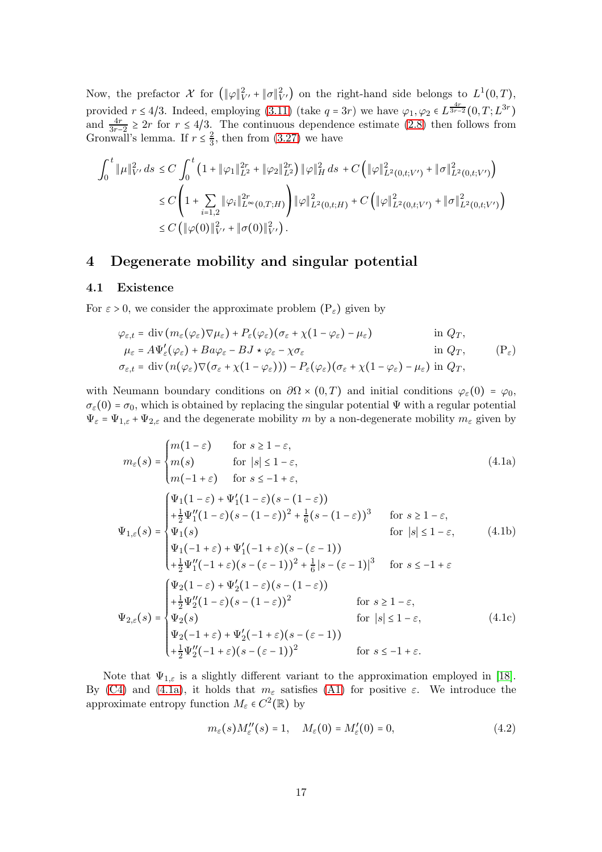Now, the prefactor  $\mathcal X$  for  $(\|\varphi\|_{V'}^2 + \|\sigma\|_{V'}^2)$  on the right-hand side belongs to  $L^1(0,T)$ , provided  $r \leq 4/3$ . Indeed, employing [\(3.11\)](#page-11-2) (take  $q = 3r$ ) we have  $\varphi_1, \varphi_2 \in L^{\frac{4r}{3r-2}}(0,T;L^{3r})$ and  $\frac{4r}{3r-2} \ge 2r$  for  $r \le 4/3$ . The continuous dependence estimate [\(2.8\)](#page-8-6) then follows from Gronwall's lemma. If  $r \leq \frac{2}{3}$  $\frac{2}{3}$ , then from  $(3.27)$  we have

$$
\int_0^t \|\mu\|_{V'}^2 ds \le C \int_0^t \left(1 + \|\varphi_1\|_{L^2}^{2r} + \|\varphi_2\|_{L^2}^{2r}\right) \|\varphi\|_H^2 ds + C \left(\|\varphi\|_{L^2(0, t; V')}^2 + \|\sigma\|_{L^2(0, t; V')}^2\right)
$$
  

$$
\le C \left(1 + \sum_{i=1,2} \|\varphi_i\|_{L^\infty(0, T; H)}^{2r}\right) \|\varphi\|_{L^2(0, t; H)}^2 + C \left(\|\varphi\|_{L^2(0, t; V')}^2 + \|\sigma\|_{L^2(0, t; V')}^2\right)
$$
  

$$
\le C \left(\|\varphi(0)\|_{V'}^2 + \|\sigma(0)\|_{V'}^2\right).
$$

## <span id="page-16-0"></span>4 Degenerate mobility and singular potential

## 4.1 Existence

For  $\varepsilon > 0$ , we consider the approximate problem  $(P_{\varepsilon})$  given by

$$
\varphi_{\varepsilon,t} = \text{div} \left( m_{\varepsilon} (\varphi_{\varepsilon}) \nabla \mu_{\varepsilon} \right) + P_{\varepsilon} (\varphi_{\varepsilon}) (\sigma_{\varepsilon} + \chi (1 - \varphi_{\varepsilon}) - \mu_{\varepsilon}) \qquad \text{in } Q_T,
$$
  
\n
$$
\mu_{\varepsilon} = A \Psi'_{\varepsilon} (\varphi_{\varepsilon}) + B a \varphi_{\varepsilon} - B J \star \varphi_{\varepsilon} - \chi \sigma_{\varepsilon} \qquad \text{in } Q_T,
$$
  
\n
$$
\sigma_{\varepsilon,t} = \text{div} \left( n (\varphi_{\varepsilon}) \nabla (\sigma_{\varepsilon} + \chi (1 - \varphi_{\varepsilon})) \right) - P_{\varepsilon} (\varphi_{\varepsilon}) (\sigma_{\varepsilon} + \chi (1 - \varphi_{\varepsilon}) - \mu_{\varepsilon}) \text{ in } Q_T,
$$
  
\n(P\_{\varepsilon})

with Neumann boundary conditions on  $\partial\Omega \times (0,T)$  and initial conditions  $\varphi_{\varepsilon}(0) = \varphi_0$ ,  $\sigma_{\varepsilon}(0) = \sigma_0$ , which is obtained by replacing the singular potential  $\Psi$  with a regular potential  $\Psi_{\varepsilon} = \Psi_{1,\varepsilon} + \Psi_{2,\varepsilon}$  and the degenerate mobility m by a non-degenerate mobility  $m_{\varepsilon}$  given by

<span id="page-16-1"></span>
$$
m_{\varepsilon}(s) =\begin{cases} m(1-\varepsilon) & \text{for } s \ge 1-\varepsilon, \\ m(s) & \text{for } |s| \le 1-\varepsilon, \\ m(-1+\varepsilon) & \text{for } s \le -1+\varepsilon, \end{cases} \tag{4.1a}
$$
\n
$$
\Psi_{1,\varepsilon}(s) =\begin{cases} \Psi_1(1-\varepsilon) + \Psi_1'(1-\varepsilon)(s-(1-\varepsilon)) \\ +\frac{1}{2}\Psi_1''(1-\varepsilon)(s-(1-\varepsilon))^2 + \frac{1}{6}(s-(1-\varepsilon))^3 & \text{for } s \ge 1-\varepsilon, \\ \Psi_1(s) & \text{for } |s| \le 1-\varepsilon, \\ \Psi_1(-1+\varepsilon) + \Psi_1'(-1+\varepsilon)(s-(\varepsilon-1)) \\ +\frac{1}{2}\Psi_1''(-1+\varepsilon)(s-(\varepsilon-1))^2 + \frac{1}{6}|s-(\varepsilon-1)|^3 & \text{for } s \le -1+\varepsilon \end{cases} \tag{4.1b}
$$
\n
$$
\Psi_{2,\varepsilon}(s) =\begin{cases} \Psi_2(1-\varepsilon) + \Psi_2'(1-\varepsilon)(s-(1-\varepsilon)) & \text{for } s \ge 1-\varepsilon, \\ \Psi_2(1-\varepsilon)(s-(1-\varepsilon))^2 & \text{for } s \ge 1-\varepsilon, \\ \Psi_2(s) & \text{for } |s| \le 1-\varepsilon, \\ \Psi_2(-1+\varepsilon) + \Psi_2'(-1+\varepsilon)(s-(\varepsilon-1)) & \text{for } s \le -1+\varepsilon. \end{cases} \tag{4.1c}
$$

Note that  $\Psi_{1,\varepsilon}$  is a slightly different variant to the approximation employed in [\[18\]](#page-25-11). By [\(C4\)](#page-6-4) and [\(4.1a\)](#page-16-1), it holds that  $m_{\varepsilon}$  satisfies [\(A1\)](#page-4-8) for positive  $\varepsilon$ . We introduce the approximate entropy function  $M_{\varepsilon} \in C^2(\mathbb{R})$  by

<span id="page-16-4"></span><span id="page-16-3"></span><span id="page-16-2"></span>
$$
m_{\varepsilon}(s)M_{\varepsilon}''(s) = 1, \quad M_{\varepsilon}(0) = M_{\varepsilon}'(0) = 0,
$$
\n(4.2)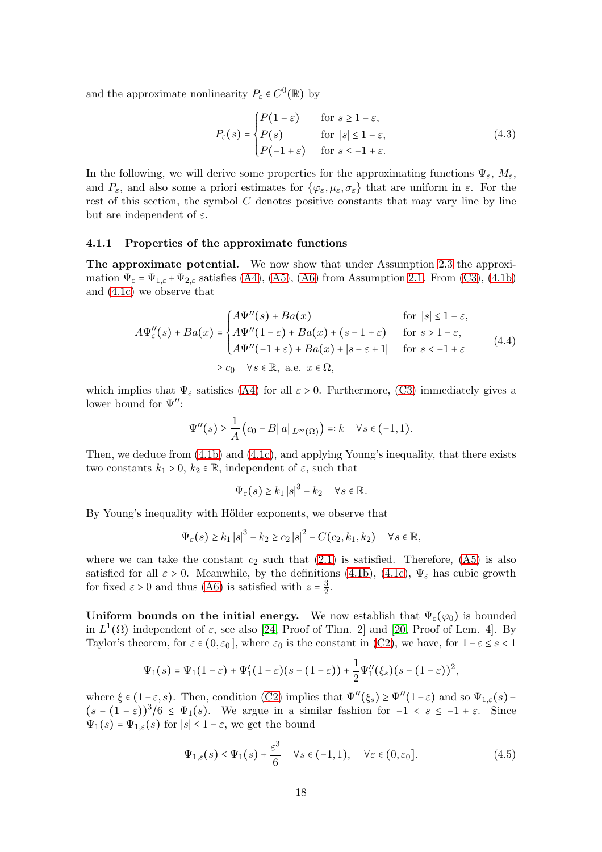and the approximate nonlinearity  $P_{\varepsilon} \in C^{0}(\mathbb{R})$  by

<span id="page-17-1"></span>
$$
P_{\varepsilon}(s) = \begin{cases} P(1-\varepsilon) & \text{for } s \ge 1-\varepsilon, \\ P(s) & \text{for } |s| \le 1-\varepsilon, \\ P(-1+\varepsilon) & \text{for } s \le -1+\varepsilon. \end{cases}
$$
(4.3)

In the following, we will derive some properties for the approximating functions  $\Psi_{\varepsilon}$ ,  $M_{\varepsilon}$ , and  $P_{\varepsilon}$ , and also some a priori estimates for  $\{\varphi_{\varepsilon}, \mu_{\varepsilon}, \sigma_{\varepsilon}\}\)$  that are uniform in  $\varepsilon$ . For the rest of this section, the symbol  $C$  denotes positive constants that may vary line by line but are independent of  $\varepsilon$ .

#### 4.1.1 Properties of the approximate functions

The approximate potential. We now show that under Assumption [2.3](#page-6-5) the approximation  $\Psi_{\varepsilon} = \Psi_{1,\varepsilon} + \Psi_{2,\varepsilon}$  satisfies [\(A4\)](#page-4-1), [\(A5\)](#page-4-6), [\(A6\)](#page-5-5) from Assumption [2.1.](#page-4-2) From [\(C3\)](#page-6-6), [\(4.1b\)](#page-16-2) and [\(4.1c\)](#page-16-3) we observe that

<span id="page-17-2"></span>
$$
A\Psi''_{\varepsilon}(s) + Ba(x) = \begin{cases} A\Psi''(s) + Ba(x) & \text{for } |s| \le 1 - \varepsilon, \\ A\Psi''(1 - \varepsilon) + Ba(x) + (s - 1 + \varepsilon) & \text{for } s > 1 - \varepsilon, \\ A\Psi''(-1 + \varepsilon) + Ba(x) + |s - \varepsilon + 1| & \text{for } s < -1 + \varepsilon \\ \ge c_0 & \forall s \in \mathbb{R}, \text{ a.e. } x \in \Omega, \end{cases} \tag{4.4}
$$

which implies that  $\Psi_{\varepsilon}$  satisfies [\(A4\)](#page-4-1) for all  $\varepsilon > 0$ . Furthermore, [\(C3\)](#page-6-6) immediately gives a lower bound for  $\Psi''$ :

$$
\Psi''(s) \geq \frac{1}{A} (c_0 - B \|a\|_{L^{\infty}(\Omega)}) =: k \quad \forall s \in (-1, 1).
$$

Then, we deduce from  $(4.1b)$  and  $(4.1c)$ , and applying Young's inequality, that there exists two constants  $k_1 > 0$ ,  $k_2 \in \mathbb{R}$ , independent of  $\varepsilon$ , such that

$$
\Psi_{\varepsilon}(s) \geq k_1 |s|^3 - k_2 \quad \forall s \in \mathbb{R}.
$$

By Young's inequality with Hölder exponents, we observe that

$$
\Psi_{\varepsilon}(s) \geq k_1 |s|^3 - k_2 \geq c_2 |s|^2 - C(c_2, k_1, k_2) \quad \forall s \in \mathbb{R},
$$

where we can take the constant  $c_2$  such that  $(2.1)$  is satisfied. Therefore,  $(A5)$  is also satisfied for all  $\varepsilon > 0$ . Meanwhile, by the definitions [\(4.1b\)](#page-16-2), [\(4.1c\)](#page-16-3),  $\Psi_{\varepsilon}$  has cubic growth for fixed  $\varepsilon > 0$  and thus [\(A6\)](#page-5-5) is satisfied with  $z = \frac{3}{2}$  $\frac{3}{2}$ .

Uniform bounds on the initial energy. We now establish that  $\Psi_{\varepsilon}(\varphi_0)$  is bounded in  $L^1(\Omega)$  independent of  $\varepsilon$ , see also [\[24,](#page-25-9) Proof of Thm. 2] and [\[20,](#page-25-5) Proof of Lem. 4]. By Taylor's theorem, for  $\varepsilon \in (0, \varepsilon_0]$ , where  $\varepsilon_0$  is the constant in [\(C2\)](#page-6-7), we have, for  $1-\varepsilon \le s < 1$ 

$$
\Psi_1(s) = \Psi_1(1-\varepsilon) + \Psi_1'(1-\varepsilon)(s-(1-\varepsilon)) + \frac{1}{2}\Psi_1''(\xi_s)(s-(1-\varepsilon))^2,
$$

where  $\xi \in (1-\varepsilon, s)$ . Then, condition [\(C2\)](#page-6-7) implies that  $\Psi''(\xi_s) \ge \Psi''(1-\varepsilon)$  and so  $\Psi_{1,\varepsilon}(s)$  –  $(s - (1 - \varepsilon))^3/6 \leq \Psi_1(s)$ . We argue in a similar fashion for  $-1 < s \leq -1 + \varepsilon$ . Since  $\Psi_1(s) = \Psi_{1,\varepsilon}(s)$  for  $|s| \leq 1-\varepsilon$ , we get the bound

<span id="page-17-0"></span>
$$
\Psi_{1,\varepsilon}(s) \le \Psi_1(s) + \frac{\varepsilon^3}{6} \quad \forall s \in (-1,1), \quad \forall \varepsilon \in (0,\varepsilon_0]. \tag{4.5}
$$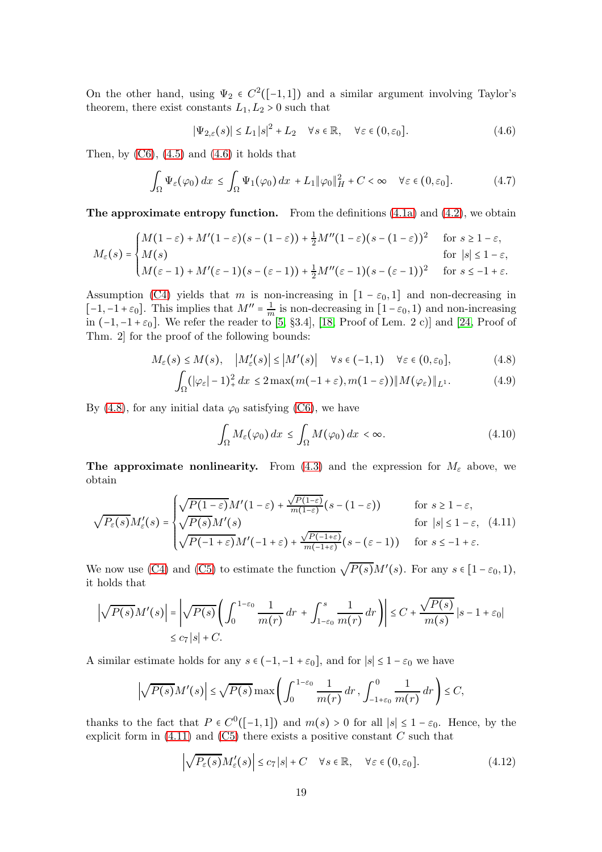On the other hand, using  $\Psi_2 \in C^2([-1,1])$  and a similar argument involving Taylor's theorem, there exist constants  $L_1, L_2 > 0$  such that

<span id="page-18-3"></span><span id="page-18-0"></span>
$$
|\Psi_{2,\varepsilon}(s)| \le L_1 |s|^2 + L_2 \quad \forall s \in \mathbb{R}, \quad \forall \varepsilon \in (0, \varepsilon_0].
$$
 (4.6)

Then, by  $(C6)$ ,  $(4.5)$  and  $(4.6)$  it holds that

$$
\int_{\Omega} \Psi_{\varepsilon}(\varphi_0) dx \le \int_{\Omega} \Psi_1(\varphi_0) dx + L_1 \|\varphi_0\|_H^2 + C < \infty \quad \forall \varepsilon \in (0, \varepsilon_0]. \tag{4.7}
$$

**The approximate entropy function.** From the definitions  $(4.1a)$  and  $(4.2)$ , we obtain

$$
M_{\varepsilon}(s) = \begin{cases} M(1-\varepsilon) + M'(1-\varepsilon)(s-(1-\varepsilon)) + \frac{1}{2}M''(1-\varepsilon)(s-(1-\varepsilon))^2 & \text{for } s \ge 1-\varepsilon, \\ M(s) & \text{for } |s| \le 1-\varepsilon, \\ M(\varepsilon-1) + M'(\varepsilon-1)(s-(\varepsilon-1)) + \frac{1}{2}M''(\varepsilon-1)(s-(\varepsilon-1))^2 & \text{for } s \le -1+\varepsilon. \end{cases}
$$

Assumption [\(C4\)](#page-6-4) yields that m is non-increasing in  $[1 - \varepsilon_0, 1]$  and non-decreasing in [-1,-1+ $\varepsilon_0$ ]. This implies that  $M'' = \frac{1}{m}$  $\frac{1}{m}$  is non-decreasing in  $[1-\varepsilon_0, 1)$  and non-increasing in  $(-1,-1+\varepsilon_0]$ . We refer the reader to [\[5,](#page-24-9) §3.4], [\[18,](#page-25-11) Proof of Lem. 2 c)] and [\[24,](#page-25-9) Proof of Thm. 2] for the proof of the following bounds:

$$
M_{\varepsilon}(s) \le M(s), \quad \left| M'_{\varepsilon}(s) \right| \le \left| M'(s) \right| \quad \forall s \in (-1, 1) \quad \forall \varepsilon \in (0, \varepsilon_0], \tag{4.8}
$$

$$
\int_{\Omega} (|\varphi_{\varepsilon}| - 1)^2 + dx \le 2 \max(m(-1 + \varepsilon), m(1 - \varepsilon)) \|M(\varphi_{\varepsilon})\|_{L^1}.
$$
 (4.9)

By [\(4.8\)](#page-18-1), for any initial data  $\varphi_0$  satisfying [\(C6\)](#page-7-5), we have

<span id="page-18-6"></span><span id="page-18-4"></span><span id="page-18-2"></span><span id="page-18-1"></span>
$$
\int_{\Omega} M_{\varepsilon}(\varphi_0) dx \le \int_{\Omega} M(\varphi_0) dx < \infty. \tag{4.10}
$$

The approximate nonlinearity. From [\(4.3\)](#page-17-1) and the expression for  $M_{\varepsilon}$  above, we obtain

$$
\sqrt{P_{\varepsilon}(s)}M'_{\varepsilon}(s) = \begin{cases}\n\sqrt{P(1-\varepsilon)}M'(1-\varepsilon) + \frac{\sqrt{P(1-\varepsilon)}}{m(1-\varepsilon)}(s-(1-\varepsilon)) & \text{for } s \ge 1-\varepsilon, \\
\sqrt{P(s)}M'(s) & \text{for } |s| \le 1-\varepsilon, \quad (4.11) \\
\sqrt{P(-1+\varepsilon)}M'(-1+\varepsilon) + \frac{\sqrt{P(-1+\varepsilon)}}{m(-1+\varepsilon)}(s-(\varepsilon-1)) & \text{for } s \le -1+\varepsilon.\n\end{cases}
$$

We now use [\(C4\)](#page-6-4) and [\(C5\)](#page-7-1) to estimate the function  $\sqrt{P(s)}M'(s)$ . For any  $s \in [1-\varepsilon_0,1)$ , it holds that

$$
\left|\sqrt{P(s)}M'(s)\right| = \left|\sqrt{P(s)}\left(\int_0^{1-\varepsilon_0} \frac{1}{m(r)} dr + \int_{1-\varepsilon_0}^s \frac{1}{m(r)} dr\right)\right| \le C + \frac{\sqrt{P(s)}}{m(s)} |s - 1 + \varepsilon_0|
$$
  

$$
\le c_7 |s| + C.
$$

A similar estimate holds for any  $s \in (-1, -1 + \varepsilon_0]$ , and for  $|s| \leq 1 - \varepsilon_0$  we have

$$
\left|\sqrt{P(s)}M'(s)\right|\leq\sqrt{P(s)}\max\left(\int_0^{1-\varepsilon_0}\frac{1}{m(r)}\,dr,\int_{-1+\varepsilon_0}^0\frac{1}{m(r)}\,dr\right)\leq C,
$$

thanks to the fact that  $P \in C^0([-1,1])$  and  $m(s) > 0$  for all  $|s| \leq 1 - \varepsilon_0$ . Hence, by the explicit form in  $(4.11)$  and  $(C5)$  there exists a positive constant C such that

<span id="page-18-5"></span>
$$
\left| \sqrt{P_{\varepsilon}(s)} M_{\varepsilon}'(s) \right| \le c_7 |s| + C \quad \forall s \in \mathbb{R}, \quad \forall \varepsilon \in (0, \varepsilon_0]. \tag{4.12}
$$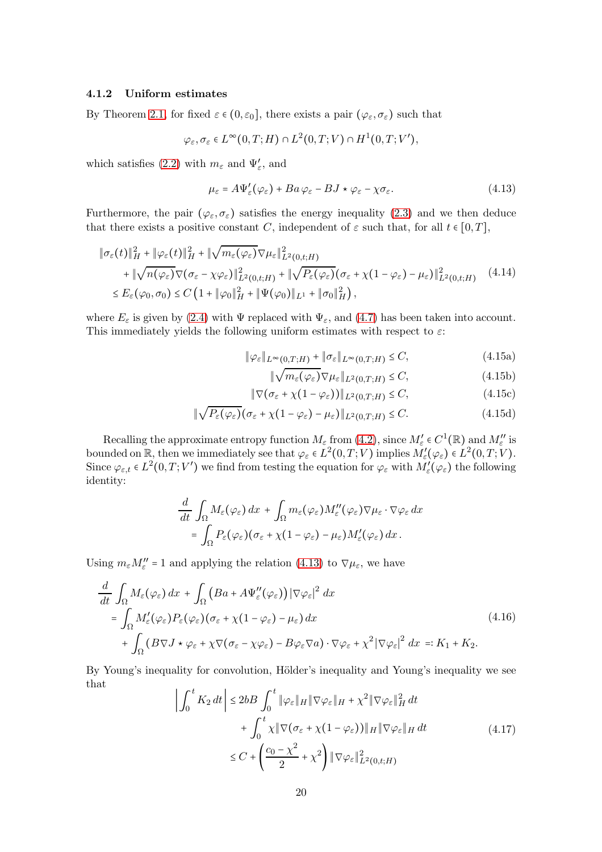#### 4.1.2 Uniform estimates

By Theorem [2.1,](#page-5-0) for fixed  $\varepsilon \in (0, \varepsilon_0]$ , there exists a pair  $(\varphi_{\varepsilon}, \sigma_{\varepsilon})$  such that

$$
\varphi_{\varepsilon}, \sigma_{\varepsilon} \in L^{\infty}(0,T;H) \cap L^{2}(0,T;V) \cap H^{1}(0,T;V'),
$$

which satisfies [\(2.2\)](#page-5-8) with  $m_{\varepsilon}$  and  $\Psi'_{\varepsilon}$ , and

<span id="page-19-0"></span>
$$
\mu_{\varepsilon} = A\Psi_{\varepsilon}'(\varphi_{\varepsilon}) + Ba\varphi_{\varepsilon} - BJ \star \varphi_{\varepsilon} - \chi \sigma_{\varepsilon}.
$$
\n(4.13)

Furthermore, the pair  $(\varphi_{\varepsilon}, \sigma_{\varepsilon})$  satisfies the energy inequality [\(2.3\)](#page-5-3) and we then deduce that there exists a positive constant C, independent of  $\varepsilon$  such that, for all  $t \in [0, T]$ ,

$$
\begin{split} \|\sigma_{\varepsilon}(t)\|_{H}^{2} + \|\varphi_{\varepsilon}(t)\|_{H}^{2} + \|\sqrt{m_{\varepsilon}(\varphi_{\varepsilon})}\nabla\mu_{\varepsilon}\|_{L^{2}(0,t;H)}^{2} \\ &+ \|\sqrt{n(\varphi_{\varepsilon})}\nabla(\sigma_{\varepsilon} - \chi\varphi_{\varepsilon})\|_{L^{2}(0,t;H)}^{2} + \|\sqrt{P_{\varepsilon}(\varphi_{\varepsilon})}(\sigma_{\varepsilon} + \chi(1-\varphi_{\varepsilon}) - \mu_{\varepsilon})\|_{L^{2}(0,t;H)}^{2} \end{split} \tag{4.14}
$$
  

$$
\leq E_{\varepsilon}(\varphi_{0}, \sigma_{0}) \leq C\left(1 + \|\varphi_{0}\|_{H}^{2} + \|\Psi(\varphi_{0})\|_{L^{1}} + \|\sigma_{0}\|_{H}^{2}\right),
$$

where  $E_{\varepsilon}$  is given by [\(2.4\)](#page-5-9) with  $\Psi$  replaced with  $\Psi_{\varepsilon}$ , and [\(4.7\)](#page-18-3) has been taken into account. This immediately yields the following uniform estimates with respect to  $\varepsilon$ :

$$
\|\varphi_{\varepsilon}\|_{L^{\infty}(0,T;H)} + \|\sigma_{\varepsilon}\|_{L^{\infty}(0,T;H)} \le C,
$$
\n(4.15a)

<span id="page-19-6"></span><span id="page-19-5"></span><span id="page-19-4"></span><span id="page-19-3"></span>
$$
\|\sqrt{m_{\varepsilon}(\varphi_{\varepsilon})}\nabla\mu_{\varepsilon}\|_{L^{2}(0,T;H)} \leq C,
$$
\n(4.15b)

$$
\|\nabla(\sigma_{\varepsilon} + \chi(1 - \varphi_{\varepsilon}))\|_{L^2(0,T;H)} \le C,\tag{4.15c}
$$

$$
\|\sqrt{P_{\varepsilon}(\varphi_{\varepsilon})}\big(\sigma_{\varepsilon} + \chi(1-\varphi_{\varepsilon}) - \mu_{\varepsilon}\big)\|_{L^2(0,T;H)} \leq C. \tag{4.15d}
$$

Recalling the approximate entropy function  $M_{\varepsilon}$  from [\(4.2\)](#page-16-4), since  $M'_{\varepsilon} \in C^1(\mathbb{R})$  and  $M''_{\varepsilon}$  is bounded on  $\mathbb{R}$ , then we immediately see that  $\varphi_{\varepsilon} \in L^2(0,T;V)$  implies  $M'_{\varepsilon}(\varphi_{\varepsilon}) \in L^2(0,T;V)$ . Since  $\varphi_{\varepsilon,t} \in L^2(0,T;V')$  we find from testing the equation for  $\varphi_{\varepsilon}$  with  $M'_{\varepsilon}(\varphi_{\varepsilon})$  the following identity:

$$
\frac{d}{dt} \int_{\Omega} M_{\varepsilon}(\varphi_{\varepsilon}) dx + \int_{\Omega} m_{\varepsilon}(\varphi_{\varepsilon}) M_{\varepsilon}''(\varphi_{\varepsilon}) \nabla \mu_{\varepsilon} \cdot \nabla \varphi_{\varepsilon} dx \n= \int_{\Omega} P_{\varepsilon}(\varphi_{\varepsilon}) (\sigma_{\varepsilon} + \chi (1 - \varphi_{\varepsilon}) - \mu_{\varepsilon}) M_{\varepsilon}'(\varphi_{\varepsilon}) dx.
$$

Using  $m_{\varepsilon}M''_{\varepsilon}$  = 1 and applying the relation [\(4.13\)](#page-19-0) to  $\nabla \mu_{\varepsilon}$ , we have

<span id="page-19-1"></span>
$$
\frac{d}{dt} \int_{\Omega} M_{\varepsilon}(\varphi_{\varepsilon}) dx + \int_{\Omega} \left( Ba + A \Psi_{\varepsilon}''(\varphi_{\varepsilon}) \right) \left| \nabla \varphi_{\varepsilon} \right|^{2} dx
$$
\n
$$
= \int_{\Omega} M_{\varepsilon}'(\varphi_{\varepsilon}) P_{\varepsilon}(\varphi_{\varepsilon}) (\sigma_{\varepsilon} + \chi (1 - \varphi_{\varepsilon}) - \mu_{\varepsilon}) dx + \int_{\Omega} \left( B \nabla J \star \varphi_{\varepsilon} + \chi \nabla (\sigma_{\varepsilon} - \chi \varphi_{\varepsilon}) - B \varphi_{\varepsilon} \nabla a \right) \cdot \nabla \varphi_{\varepsilon} + \chi^{2} \left| \nabla \varphi_{\varepsilon} \right|^{2} dx =: K_{1} + K_{2}.
$$
\n(4.16)

By Young's inequality for convolution, Hölder's inequality and Young's inequality we see that

<span id="page-19-2"></span>
$$
\left| \int_0^t K_2 dt \right| \le 2b \, B \int_0^t \|\varphi_{\varepsilon}\|_H \|\nabla \varphi_{\varepsilon}\|_H + \chi^2 \|\nabla \varphi_{\varepsilon}\|_H^2 dt
$$
  
+ 
$$
\int_0^t \chi \|\nabla (\sigma_{\varepsilon} + \chi (1 - \varphi_{\varepsilon}))\|_H \|\nabla \varphi_{\varepsilon}\|_H dt
$$
  

$$
\le C + \left(\frac{c_0 - \chi^2}{2} + \chi^2\right) \|\nabla \varphi_{\varepsilon}\|_{L^2(0, t; H)}^2
$$
 (4.17)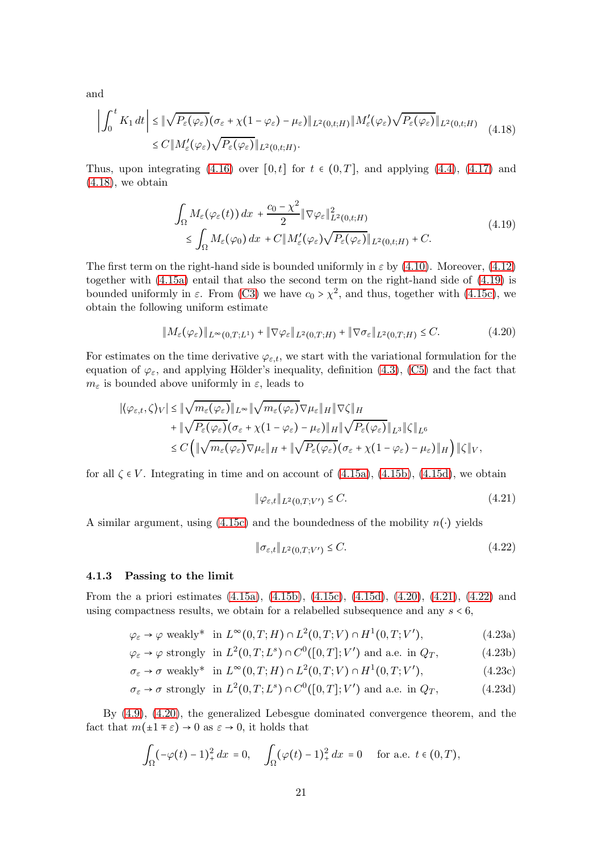and

<span id="page-20-0"></span>
$$
\left| \int_0^t K_1 dt \right| \leq \|\sqrt{P_{\varepsilon}(\varphi_{\varepsilon})} (\sigma_{\varepsilon} + \chi(1 - \varphi_{\varepsilon}) - \mu_{\varepsilon}) \|_{L^2(0, t; H)} \|M'_{\varepsilon}(\varphi_{\varepsilon}) \sqrt{P_{\varepsilon}(\varphi_{\varepsilon})} \|_{L^2(0, t; H)} \tag{4.18}
$$
  

$$
\leq C \|M'_{\varepsilon}(\varphi_{\varepsilon}) \sqrt{P_{\varepsilon}(\varphi_{\varepsilon})} \|_{L^2(0, t; H)}.
$$

Thus, upon integrating [\(4.16\)](#page-19-1) over [0, t] for  $t \in (0,T]$ , and applying [\(4.4\)](#page-17-2), [\(4.17\)](#page-19-2) and  $(4.18)$ , we obtain

<span id="page-20-1"></span>
$$
\int_{\Omega} M_{\varepsilon}(\varphi_{\varepsilon}(t)) dx + \frac{c_0 - \chi^2}{2} \|\nabla \varphi_{\varepsilon}\|_{L^2(0,t;H)}^2 \n\leq \int_{\Omega} M_{\varepsilon}(\varphi_0) dx + C \|M_{\varepsilon}'(\varphi_{\varepsilon})\sqrt{P_{\varepsilon}(\varphi_{\varepsilon})}\|_{L^2(0,t;H)} + C.
$$
\n(4.19)

The first term on the right-hand side is bounded uniformly in  $\varepsilon$  by [\(4.10\)](#page-18-4). Moreover, [\(4.12\)](#page-18-5) together with [\(4.15a\)](#page-19-3) entail that also the second term on the right-hand side of [\(4.19\)](#page-20-1) is bounded uniformly in  $\varepsilon$ . From [\(C3\)](#page-6-6) we have  $c_0 > \chi^2$ , and thus, together with [\(4.15c\)](#page-19-4), we obtain the following uniform estimate

$$
||M_{\varepsilon}(\varphi_{\varepsilon})||_{L^{\infty}(0,T;L^{1})} + ||\nabla \varphi_{\varepsilon}||_{L^{2}(0,T;H)} + ||\nabla \sigma_{\varepsilon}||_{L^{2}(0,T;H)} \leq C.
$$
\n(4.20)

For estimates on the time derivative  $\varphi_{\varepsilon,t}$ , we start with the variational formulation for the equation of  $\varphi_{\varepsilon}$ , and applying Hölder's inequality, definition [\(4.3\)](#page-17-1), [\(C5\)](#page-7-1) and the fact that  $m_{\varepsilon}$  is bounded above uniformly in  $\varepsilon$ , leads to

$$
|\langle \varphi_{\varepsilon,t}, \zeta \rangle_V| \leq \|\sqrt{m_{\varepsilon}(\varphi_{\varepsilon})}\|_{L^{\infty}} \|\sqrt{m_{\varepsilon}(\varphi_{\varepsilon})} \nabla \mu_{\varepsilon}\|_{H} \|\nabla \zeta\|_{H}
$$
  
+ 
$$
\|\sqrt{P_{\varepsilon}(\varphi_{\varepsilon})} (\sigma_{\varepsilon} + \chi(1 - \varphi_{\varepsilon}) - \mu_{\varepsilon})\|_{H} \|\sqrt{P_{\varepsilon}(\varphi_{\varepsilon})}\|_{L^{3}} \|\zeta\|_{L^{6}}
$$
  

$$
\leq C \left( \|\sqrt{m_{\varepsilon}(\varphi_{\varepsilon})} \nabla \mu_{\varepsilon}\|_{H} + \|\sqrt{P_{\varepsilon}(\varphi_{\varepsilon})} (\sigma_{\varepsilon} + \chi(1 - \varphi_{\varepsilon}) - \mu_{\varepsilon})\|_{H} \right) \|\zeta\|_{V},
$$

for all  $\zeta \in V$ . Integrating in time and on account of  $(4.15a)$ ,  $(4.15b)$ ,  $(4.15d)$ , we obtain

<span id="page-20-3"></span><span id="page-20-2"></span>
$$
\|\varphi_{\varepsilon,t}\|_{L^2(0,T;V')} \leq C. \tag{4.21}
$$

A similar argument, using [\(4.15c\)](#page-19-4) and the boundedness of the mobility  $n(\cdot)$  yields

<span id="page-20-5"></span><span id="page-20-4"></span>
$$
\|\sigma_{\varepsilon,t}\|_{L^2(0,T;V')} \leq C. \tag{4.22}
$$

#### 4.1.3 Passing to the limit

From the a priori estimates [\(4.15a\)](#page-19-3), [\(4.15b\)](#page-19-5), [\(4.15c\)](#page-19-4), [\(4.15d\)](#page-19-6), [\(4.20\)](#page-20-2), [\(4.21\)](#page-20-3), [\(4.22\)](#page-20-4) and using compactness results, we obtain for a relabelled subsequence and any  $s < 6$ ,

> $\varphi_{\varepsilon} \to \varphi$  weakly\* in  $L^{\infty}(0,T;H) \cap L^{2}(0,T;V) \cap H^{1}(0,T;V')$  $(4.23a)$

$$
\varphi_{\varepsilon} \to \varphi
$$
 strongly in  $L^2(0,T;L^s) \cap C^0([0,T];V')$  and a.e. in  $Q_T$ , (4.23b)

$$
\sigma_{\varepsilon} \to \sigma \text{ weakly* in } L^{\infty}(0, T; H) \cap L^{2}(0, T; V) \cap H^{1}(0, T; V'), \tag{4.23c}
$$

$$
\sigma_{\varepsilon} \to \sigma \text{ strongly in } L^2(0, T; L^s) \cap C^0([0, T]; V') \text{ and a.e. in } Q_T,
$$
\n(4.23d)

By [\(4.9\)](#page-18-6), [\(4.20\)](#page-20-2), the generalized Lebesgue dominated convergence theorem, and the fact that  $m(\pm 1 \mp \varepsilon) \rightarrow 0$  as  $\varepsilon \rightarrow 0$ , it holds that

$$
\int_{\Omega} \left( -\varphi(t) - 1 \right)_+^2 dx = 0, \quad \int_{\Omega} \left( \varphi(t) - 1 \right)_+^2 dx = 0 \quad \text{for a.e. } t \in (0, T),
$$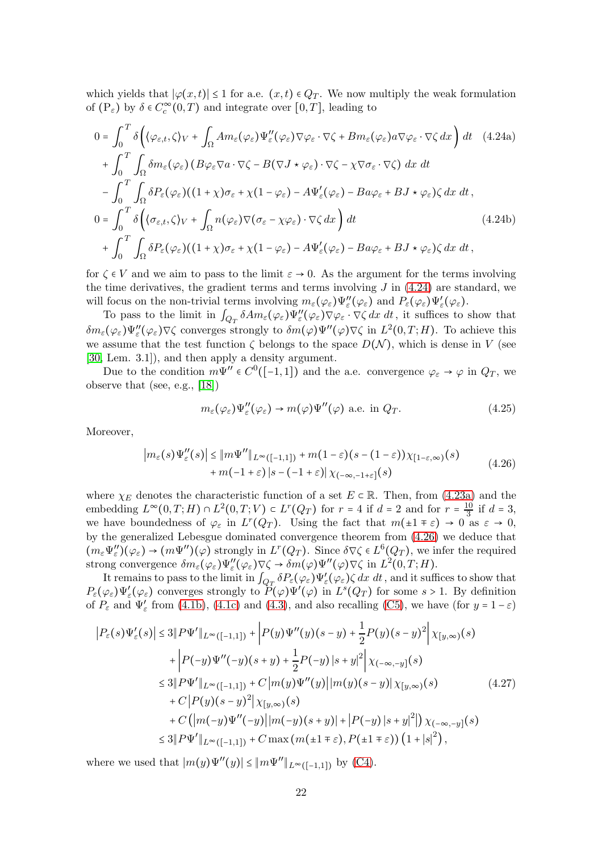which yields that  $|\varphi(x,t)| \leq 1$  for a.e.  $(x,t) \in Q_T$ . We now multiply the weak formulation of  $(P_{\varepsilon})$  by  $\delta \in C_c^{\infty}(0,T)$  and integrate over  $[0,T]$ , leading to

<span id="page-21-0"></span>
$$
0 = \int_{0}^{T} \delta \left( \langle \varphi_{\varepsilon,t}, \zeta \rangle_{V} + \int_{\Omega} A m_{\varepsilon} (\varphi_{\varepsilon}) \Psi''_{\varepsilon} (\varphi_{\varepsilon}) \nabla \varphi_{\varepsilon} \cdot \nabla \zeta + B m_{\varepsilon} (\varphi_{\varepsilon}) a \nabla \varphi_{\varepsilon} \cdot \nabla \zeta \, dx \right) dt \quad (4.24a)
$$
  
+ 
$$
\int_{0}^{T} \int_{\Omega} \delta m_{\varepsilon} (\varphi_{\varepsilon}) \left( B \varphi_{\varepsilon} \nabla a \cdot \nabla \zeta - B (\nabla J \star \varphi_{\varepsilon}) \cdot \nabla \zeta - \chi \nabla \sigma_{\varepsilon} \cdot \nabla \zeta \right) dx dt
$$
  
- 
$$
\int_{0}^{T} \int_{\Omega} \delta P_{\varepsilon} (\varphi_{\varepsilon}) \left( (1 + \chi) \sigma_{\varepsilon} + \chi (1 - \varphi_{\varepsilon}) - A \Psi'_{\varepsilon} (\varphi_{\varepsilon}) - B a \varphi_{\varepsilon} + B J \star \varphi_{\varepsilon} \right) \zeta dx dt,
$$
  

$$
0 = \int_{0}^{T} \delta \left( \langle \sigma_{\varepsilon,t}, \zeta \rangle_{V} + \int_{\Omega} n (\varphi_{\varepsilon}) \nabla (\sigma_{\varepsilon} - \chi \varphi_{\varepsilon}) \cdot \nabla \zeta dx \right) dt \qquad (4.24b)
$$
  
+ 
$$
\int_{0}^{T} \int_{\Omega} \delta P_{\varepsilon} (\varphi_{\varepsilon}) \left( (1 + \chi) \sigma_{\varepsilon} + \chi (1 - \varphi_{\varepsilon}) - A \Psi'_{\varepsilon} (\varphi_{\varepsilon}) - B a \varphi_{\varepsilon} + B J \star \varphi_{\varepsilon} \right) \zeta dx dt,
$$
  
(4.24b)

for  $\zeta \in V$  and we aim to pass to the limit  $\varepsilon \to 0$ . As the argument for the terms involving the time derivatives, the gradient terms and terms involving  $J$  in  $(4.24)$  are standard, we will focus on the non-trivial terms involving  $m_{\varepsilon}(\varphi_{\varepsilon})\Psi''_{\varepsilon}(\varphi_{\varepsilon})$  and  $P_{\varepsilon}(\varphi_{\varepsilon})\Psi'_{\varepsilon}(\varphi_{\varepsilon}).$ 

To pass to the limit in  $\int_{Q_T} \delta A m_\varepsilon(\varphi_\varepsilon) \Psi''_\varepsilon(\varphi_\varepsilon) \nabla \varphi_\varepsilon \cdot \nabla \zeta dx dt$ , it suffices to show that  $\delta m_{\varepsilon}(\varphi_{\varepsilon})\Psi''_{\varepsilon}(\varphi_{\varepsilon})\nabla\zeta$  converges strongly to  $\delta m(\varphi)\Psi''(\varphi)\nabla\zeta$  in  $L^2(0,T;H)$ . To achieve this we assume that the test function  $\zeta$  belongs to the space  $D(\mathcal{N})$ , which is dense in V (see [\[30,](#page-26-3) Lem. 3.1]), and then apply a density argument.

Due to the condition  $m\Psi'' \in C^0([-1,1])$  and the a.e. convergence  $\varphi_{\varepsilon} \to \varphi$  in  $Q_T$ , we observe that (see, e.g., [\[18\]](#page-25-11))

<span id="page-21-2"></span>
$$
m_{\varepsilon}(\varphi_{\varepsilon})\Psi''_{\varepsilon}(\varphi_{\varepsilon}) \to m(\varphi)\Psi''(\varphi) \text{ a.e. in } Q_T. \tag{4.25}
$$

Moreover,

<span id="page-21-1"></span>
$$
\left| m_{\varepsilon}(s) \Psi''_{\varepsilon}(s) \right| \leq \left\| m \Psi'' \right\|_{L^{\infty}([-1,1])} + m(1-\varepsilon)(s-(1-\varepsilon)) \chi_{[1-\varepsilon,\infty)}(s)
$$
  
+  $m(-1+\varepsilon) \left| s-(-1+\varepsilon) \right| \chi_{(-\infty,-1+\varepsilon)}(s)$  (4.26)

where  $\chi_E$  denotes the characteristic function of a set  $E \subset \mathbb{R}$ . Then, from [\(4.23a\)](#page-20-5) and the embedding  $L^{\infty}(0,T;H) \cap L^2(0,T;V) \subset L^r(Q_T)$  for  $r = 4$  if  $d = 2$  and for  $r = \frac{10}{3}$  $\frac{10}{3}$  if  $d = 3$ , we have boundedness of  $\varphi_{\varepsilon}$  in  $L^r(Q_T)$ . Using the fact that  $m(\pm 1 \mp \varepsilon) \to 0$  as  $\varepsilon \to 0$ , by the generalized Lebesgue dominated convergence theorem from [\(4.26\)](#page-21-1) we deduce that  $(m_{\varepsilon}\Psi''_{\varepsilon})(\varphi_{\varepsilon}) \to (m\Psi'')(\varphi)$  strongly in  $L^r(Q_T)$ . Since  $\delta \nabla \zeta \in L^6(Q_T)$ , we infer the required strong convergence  $\delta m_{\varepsilon}(\varphi_{\varepsilon})\Psi''_{\varepsilon}(\varphi_{\varepsilon})\nabla \zeta \to \delta m(\varphi)\Psi''(\varphi)\nabla \zeta$  in  $L^2(0,T;H)$ .

It remains to pass to the limit in  $\int_{Q_T} \delta P_{\varepsilon}(\varphi_{\varepsilon}) \Psi_{\varepsilon}'(\varphi_{\varepsilon}) \zeta dx dt$ , and it suffices to show that  $P_{\varepsilon}(\varphi_{\varepsilon})\Psi'_{\varepsilon}(\varphi_{\varepsilon})$  converges strongly to  $P(\varphi)\Psi'(\varphi)$  in  $L^{s}(Q_T)$  for some  $s > 1$ . By definition of  $P_{\varepsilon}$  and  $\Psi'_{\varepsilon}$  from [\(4.1b\)](#page-16-2), [\(4.1c\)](#page-16-3) and [\(4.3\)](#page-17-1), and also recalling [\(C5\)](#page-7-1), we have (for  $y = 1 - \varepsilon$ )

<span id="page-21-3"></span>
$$
\left|P_{\varepsilon}(s)\Psi'_{\varepsilon}(s)\right| \leq 3\|P\Psi'\|_{L^{\infty}([-1,1])} + \left|P(y)\Psi''(y)(s-y) + \frac{1}{2}P(y)(s-y)^{2}\right|\chi_{[y,\infty)}(s) \n+ \left|P(-y)\Psi''(-y)(s+y) + \frac{1}{2}P(-y)|s+y|^{2}\right|\chi_{(-\infty,-y]}(s) \n\leq 3\|P\Psi'\|_{L^{\infty}([-1,1])} + C\left|m(y)\Psi''(y)\right|\left|m(y)(s-y)\right|\chi_{[y,\infty)}(s) \n+ C\left|P(y)(s-y)^{2}\right|\chi_{[y,\infty)}(s) \n+ C\left(\left|m(-y)\Psi''(-y)\right|\left|m(-y)(s+y)\right| + \left|P(-y)\right|s+y|^{2}\right|\chi_{(-\infty,-y]}(s) \n\leq 3\|P\Psi'\|_{L^{\infty}([-1,1])} + C\max\left(m(\pm 1 \mp \varepsilon), P(\pm 1 \mp \varepsilon)\right)\left(1+|s|^{2}\right),
$$
\n(4.27)

where we used that  $|m(y)\Psi''(y)| \leq ||m\Psi''||_{L^{\infty}([-1,1])}$  by [\(C4\)](#page-6-4).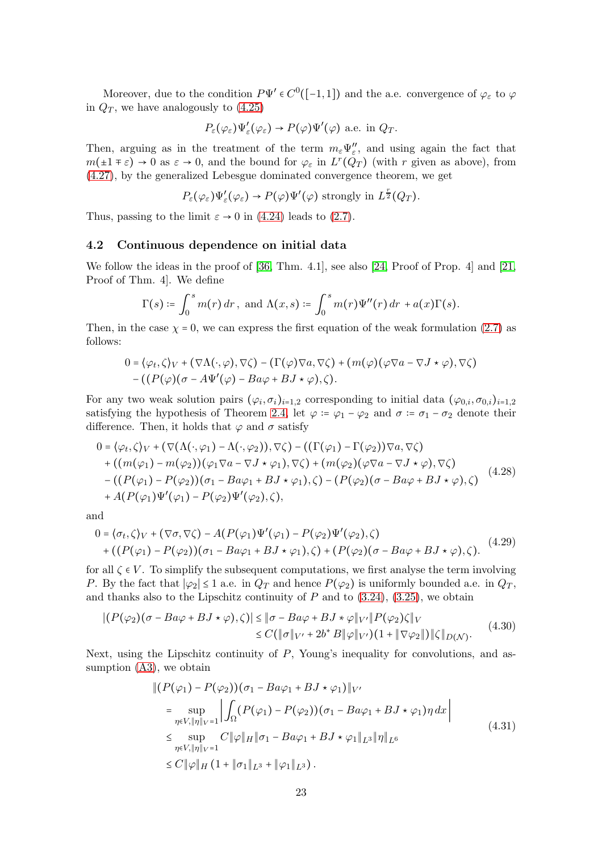Moreover, due to the condition  $P\Psi' \in C^0([-1,1])$  and the a.e. convergence of  $\varphi_{\varepsilon}$  to  $\varphi$ in  $Q_T$ , we have analogously to  $(4.25)$ 

$$
P_{\varepsilon}(\varphi_{\varepsilon})\Psi'_{\varepsilon}(\varphi_{\varepsilon}) \to P(\varphi)\Psi'(\varphi)
$$
 a.e. in  $Q_T$ .

Then, arguing as in the treatment of the term  $m_{\varepsilon} \Psi''_{\varepsilon}$ , and using again the fact that  $m(\pm 1 \mp \varepsilon) \to 0$  as  $\varepsilon \to 0$ , and the bound for  $\varphi_{\varepsilon}$  in  $L^r(Q_T)$  (with r given as above), from [\(4.27\)](#page-21-3), by the generalized Lebesgue dominated convergence theorem, we get

$$
P_{\varepsilon}(\varphi_{\varepsilon})\Psi'_{\varepsilon}(\varphi_{\varepsilon}) \to P(\varphi)\Psi'(\varphi)
$$
 strongly in  $L^{\frac{r}{2}}(Q_T)$ .

Thus, passing to the limit  $\varepsilon \to 0$  in [\(4.24\)](#page-21-0) leads to [\(2.7\)](#page-7-3).

#### 4.2 Continuous dependence on initial data

We follow the ideas in the proof of [\[36,](#page-26-14) Thm. 4.1], see also [\[24,](#page-25-9) Proof of Prop. 4] and [\[21,](#page-25-7) Proof of Thm. 4]. We define

$$
\Gamma(s) \coloneqq \int_0^s m(r) dr \, , \text{ and } \Lambda(x, s) \coloneqq \int_0^s m(r) \Psi''(r) dr + a(x) \Gamma(s).
$$

Then, in the case  $\chi = 0$ , we can express the first equation of the weak formulation [\(2.7\)](#page-7-3) as follows:

$$
0 = \langle \varphi_t, \zeta \rangle_V + (\nabla \Lambda(\cdot, \varphi), \nabla \zeta) - (\Gamma(\varphi) \nabla a, \nabla \zeta) + (m(\varphi)(\varphi \nabla a - \nabla J \star \varphi), \nabla \zeta) - ((P(\varphi)(\sigma - A \Psi'(\varphi) - B a \varphi + B J \star \varphi), \zeta).
$$

For any two weak solution pairs  $(\varphi_i, \sigma_i)_{i=1,2}$  corresponding to initial data  $(\varphi_{0,i}, \sigma_{0,i})_{i=1,2}$ satisfying the hypothesis of Theorem [2.4,](#page-8-0) let  $\varphi := \varphi_1 - \varphi_2$  and  $\sigma := \sigma_1 - \sigma_2$  denote their difference. Then, it holds that  $\varphi$  and  $\sigma$  satisfy

<span id="page-22-1"></span>
$$
0 = \langle \varphi_t, \zeta \rangle_V + (\nabla (\Lambda(\cdot, \varphi_1) - \Lambda(\cdot, \varphi_2)), \nabla \zeta \rangle - ((\Gamma(\varphi_1) - \Gamma(\varphi_2)) \nabla a, \nabla \zeta)
$$
  
+ 
$$
((m(\varphi_1) - m(\varphi_2)) (\varphi_1 \nabla a - \nabla J \star \varphi_1), \nabla \zeta) + (m(\varphi_2) (\varphi \nabla a - \nabla J \star \varphi), \nabla \zeta)
$$
  
- 
$$
((P(\varphi_1) - P(\varphi_2)) (\sigma_1 - Ba\varphi_1 + BJ \star \varphi_1), \zeta) - (P(\varphi_2) (\sigma - Ba\varphi + BJ \star \varphi), \zeta)
$$
  
+ 
$$
A(P(\varphi_1) \Psi'(\varphi_1) - P(\varphi_2) \Psi'(\varphi_2), \zeta),
$$
 (4.28)

and

<span id="page-22-2"></span>
$$
0 = \langle \sigma_t, \zeta \rangle_V + (\nabla \sigma, \nabla \zeta) - A(P(\varphi_1) \Psi'(\varphi_1) - P(\varphi_2) \Psi'(\varphi_2), \zeta) + ((P(\varphi_1) - P(\varphi_2)) (\sigma_1 - Ba\varphi_1 + BJ \star \varphi_1), \zeta) + (P(\varphi_2) (\sigma - Ba\varphi + BJ \star \varphi), \zeta).
$$
 (4.29)

for all  $\zeta \in V$ . To simplify the subsequent computations, we first analyse the term involving P. By the fact that  $|\varphi_2| \leq 1$  a.e. in  $Q_T$  and hence  $P(\varphi_2)$  is uniformly bounded a.e. in  $Q_T$ , and thanks also to the Lipschitz continuity of  $P$  and to  $(3.24)$ ,  $(3.25)$ , we obtain

<span id="page-22-3"></span>
$$
|(P(\varphi_2)(\sigma - Ba\varphi + BJ \star \varphi), \zeta)| \leq |\sigma - Ba\varphi + BJ \star \varphi||_{V'}||P(\varphi_2)\zeta||_V
$$
  
\n
$$
\leq C(|\sigma||_{V'} + 2b^*B||\varphi||_{V'})\left(1 + ||\nabla\varphi_2||\right)||\zeta||_{D(\mathcal{N})}.
$$
\n(4.30)

Next, using the Lipschitz continuity of  $P$ , Young's inequality for convolutions, and assumption [\(A3\)](#page-4-3), we obtain

<span id="page-22-0"></span>
$$
\| (P(\varphi_1) - P(\varphi_2)) (\sigma_1 - Ba\varphi_1 + BJ \star \varphi_1) \|_{V'}
$$
\n
$$
= \sup_{\eta \in V, \|\eta\|_{V} = 1} \left| \int_{\Omega} (P(\varphi_1) - P(\varphi_2)) (\sigma_1 - Ba\varphi_1 + BJ \star \varphi_1) \eta \, dx \right|
$$
\n
$$
\leq \sup_{\eta \in V, \|\eta\|_{V} = 1} C \|\varphi\|_{H} \|\sigma_1 - Ba\varphi_1 + BJ \star \varphi_1\|_{L^3} \|\eta\|_{L^6}
$$
\n
$$
\leq C \|\varphi\|_{H} (1 + \|\sigma_1\|_{L^3} + \|\varphi_1\|_{L^3}).
$$
\n(4.31)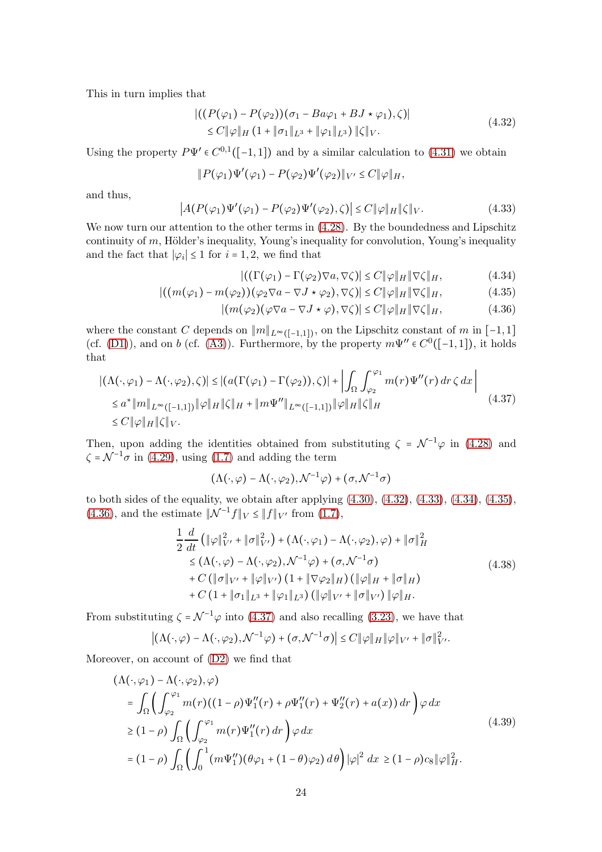This in turn implies that

<span id="page-23-0"></span>
$$
\left| \left( (P(\varphi_1) - P(\varphi_2)) (\sigma_1 - Ba\varphi_1 + BJ \star \varphi_1), \zeta \right) \right|
$$
  
\$\leq C \|\varphi\|\_H (1 + \|\sigma\_1\|\_{L^3} + \|\varphi\_1\|\_{L^3}) \| \zeta \|\_V. \qquad (4.32)\$

Using the property  $P\Psi' \in C^{0,1}([-1,1])$  and by a similar calculation to  $(4.31)$  we obtain

$$
||P(\varphi_1)\Psi'(\varphi_1)-P(\varphi_2)\Psi'(\varphi_2)||_{V'}\leq C||\varphi||_H,
$$

and thus,

<span id="page-23-1"></span>
$$
\left| A(P(\varphi_1)\Psi'(\varphi_1) - P(\varphi_2)\Psi'(\varphi_2), \zeta) \right| \le C \|\varphi\|_H \|\zeta\|_V. \tag{4.33}
$$

We now turn our attention to the other terms in  $(4.28)$ . By the boundedness and Lipschitz continuity of m, Hölder's inequality, Young's inequality for convolution, Young's inequality and the fact that  $|\varphi_i| \leq 1$  for  $i = 1, 2$ , we find that

<span id="page-23-4"></span><span id="page-23-3"></span><span id="page-23-2"></span>
$$
|((\Gamma(\varphi_1) - \Gamma(\varphi_2)\nabla a, \nabla \zeta)| \le C \|\varphi\|_H \|\nabla \zeta\|_H, \tag{4.34}
$$

$$
|((m(\varphi_1) - m(\varphi_2))(\varphi_2 \nabla a - \nabla J \star \varphi_2), \nabla \zeta)| \le C ||\varphi||_H ||\nabla \zeta||_H, \tag{4.35}
$$

$$
|(m(\varphi_2)(\varphi \nabla a - \nabla J \star \varphi), \nabla \zeta)| \le C \|\varphi\|_H \|\nabla \zeta\|_H, \tag{4.36}
$$

where the constant C depends on  $||m||_{L^{\infty}([-1,1])}$ , on the Lipschitz constant of m in [-1,1] (cf. [\(D1\)](#page-7-6)), and on b (cf. [\(A3\)](#page-4-3)). Furthermore, by the property  $m\Psi'' \in C^0([-1,1])$ , it holds that

<span id="page-23-5"></span>
$$
\left| \left( \Lambda(\cdot,\varphi_1) - \Lambda(\cdot,\varphi_2),\zeta \right) \right| \le \left| \left( a(\Gamma(\varphi_1) - \Gamma(\varphi_2)),\zeta \right) \right| + \left| \int_{\Omega} \int_{\varphi_2}^{\varphi_1} m(r) \Psi''(r) dr \,\zeta \,dx \right|
$$
  
\n
$$
\le a^* \|m\|_{L^{\infty}([-1,1])} \|\varphi\|_H \|\zeta\|_H + \|m\Psi''\|_{L^{\infty}([-1,1])} \|\varphi\|_H \|\zeta\|_H
$$
  
\n
$$
\le C \|\varphi\|_H \|\zeta\|_V. \tag{4.37}
$$

Then, upon adding the identities obtained from substituting  $\zeta = \mathcal{N}^{-1}\varphi$  in [\(4.28\)](#page-22-1) and  $\zeta = \mathcal{N}^{-1}\sigma$  in [\(4.29\)](#page-22-2), using [\(1.7\)](#page-4-9) and adding the term

$$
(\Lambda(\cdot,\varphi)-\Lambda(\cdot,\varphi_2),\mathcal{N}^{-1}\varphi)+(\sigma,\mathcal{N}^{-1}\sigma)
$$

to both sides of the equality, we obtain after applying  $(4.30)$ ,  $(4.32)$ ,  $(4.33)$ ,  $(4.34)$ ,  $(4.35)$ , [\(4.36\)](#page-23-4), and the estimate  $\|\mathcal{N}^{-1}f\|_{V} \leq \|f\|_{V'}$  from [\(1.7\)](#page-4-9),

<span id="page-23-6"></span>
$$
\frac{1}{2} \frac{d}{dt} \left( \|\varphi\|_{V'}^2 + \|\sigma\|_{V'}^2 \right) + (\Lambda(\cdot, \varphi_1) - \Lambda(\cdot, \varphi_2), \varphi) + \|\sigma\|_H^2
$$
\n
$$
\leq (\Lambda(\cdot, \varphi) - \Lambda(\cdot, \varphi_2), \mathcal{N}^{-1}\varphi) + (\sigma, \mathcal{N}^{-1}\sigma)
$$
\n
$$
+ C \left( \|\sigma\|_{V'} + \|\varphi\|_{V'} \right) \left( 1 + \|\nabla\varphi_2\|_H \right) \left( \|\varphi\|_H + \|\sigma\|_H \right)
$$
\n
$$
+ C \left( 1 + \|\sigma_1\|_{L^3} + \|\varphi_1\|_{L^3} \right) \left( \|\varphi\|_{V'} + \|\sigma\|_{V'} \right) \|\varphi\|_H.
$$
\n(4.38)

From substituting  $\zeta = \mathcal{N}^{-1}\varphi$  into [\(4.37\)](#page-23-5) and also recalling [\(3.23\)](#page-15-0), we have that

$$
\left| \left( \Lambda(\cdot,\varphi) - \Lambda(\cdot,\varphi_2), \mathcal{N}^{-1}\varphi \right) + (\sigma,\mathcal{N}^{-1}\sigma) \right| \leq C \|\varphi\|_H \|\varphi\|_{V'} + \|\sigma\|_{V'}^2.
$$

Moreover, on account of [\(D2\)](#page-7-7) we find that

<span id="page-23-7"></span>
$$
(\Lambda(\cdot,\varphi_1) - \Lambda(\cdot,\varphi_2),\varphi)
$$
  
\n
$$
= \int_{\Omega} \left( \int_{\varphi_2}^{\varphi_1} m(r)((1-\rho)\Psi_1''(r) + \rho\Psi_1''(r) + \Psi_2''(r) + a(x)) dr \right) \varphi dx
$$
  
\n
$$
\geq (1-\rho) \int_{\Omega} \left( \int_{\varphi_2}^{\varphi_1} m(r)\Psi_1''(r) dr \right) \varphi dx
$$
  
\n
$$
= (1-\rho) \int_{\Omega} \left( \int_0^1 (m\Psi_1'') (\theta\varphi_1 + (1-\theta)\varphi_2) d\theta \right) |\varphi|^2 dx \geq (1-\rho)c_8 \|\varphi\|_H^2.
$$
\n(4.39)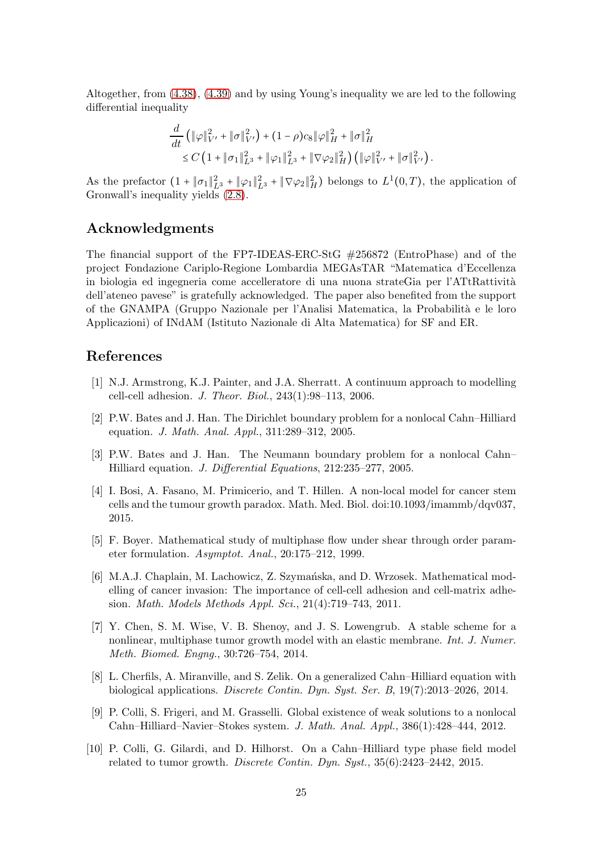Altogether, from [\(4.38\)](#page-23-6), [\(4.39\)](#page-23-7) and by using Young's inequality we are led to the following differential inequality

$$
\frac{d}{dt} \left( \|\varphi\|_{V'}^2 + \|\sigma\|_{V'}^2 \right) + (1-\rho)c_8 \|\varphi\|_H^2 + \|\sigma\|_H^2 \leq C \left( 1 + \|\sigma_1\|_{L^3}^2 + \|\varphi_1\|_{L^3}^2 + \|\nabla\varphi_2\|_H^2 \right) \left( \|\varphi\|_{V'}^2 + \|\sigma\|_{V'}^2 \right).
$$

As the prefactor  $(1 + ||\sigma_1||_{L^3}^2 + ||\varphi_1||_{L^3}^2 + ||\nabla \varphi_2||_H^2)$  belongs to  $L^1(0,T)$ , the application of Gronwall's inequality yields [\(2.8\)](#page-8-6).

# Acknowledgments

The financial support of the FP7-IDEAS-ERC-StG #256872 (EntroPhase) and of the project Fondazione Cariplo-Regione Lombardia MEGAsTAR "Matematica d'Eccellenza in biologia ed ingegneria come accelleratore di una nuona strateGia per l'ATtRattività dell'ateneo pavese" is gratefully acknowledged. The paper also benefited from the support of the GNAMPA (Gruppo Nazionale per l'Analisi Matematica, la Probabilità e le loro Applicazioni) of INdAM (Istituto Nazionale di Alta Matematica) for SF and ER.

# <span id="page-24-2"></span>References

- <span id="page-24-4"></span>[1] N.J. Armstrong, K.J. Painter, and J.A. Sherratt. A continuum approach to modelling cell-cell adhesion. J. Theor. Biol., 243(1):98–113, 2006.
- [2] P.W. Bates and J. Han. The Dirichlet boundary problem for a nonlocal Cahn–Hilliard equation. J. Math. Anal. Appl., 311:289–312, 2005.
- <span id="page-24-5"></span>[3] P.W. Bates and J. Han. The Neumann boundary problem for a nonlocal Cahn– Hilliard equation. J. Differential Equations, 212:235–277, 2005.
- <span id="page-24-1"></span>[4] I. Bosi, A. Fasano, M. Primicerio, and T. Hillen. A non-local model for cancer stem cells and the tumour growth paradox. Math. Med. Biol. doi:10.1093/imammb/dqv037, 2015.
- <span id="page-24-9"></span>[5] F. Boyer. Mathematical study of multiphase flow under shear through order parameter formulation. Asymptot. Anal., 20:175–212, 1999.
- <span id="page-24-3"></span>[6] M.A.J. Chaplain, M. Lachowicz, Z. Szymańska, and D. Wrzosek. Mathematical modelling of cancer invasion: The importance of cell-cell adhesion and cell-matrix adhesion. Math. Models Methods Appl. Sci., 21(4):719–743, 2011.
- <span id="page-24-7"></span>[7] Y. Chen, S. M. Wise, V. B. Shenoy, and J. S. Lowengrub. A stable scheme for a nonlinear, multiphase tumor growth model with an elastic membrane. Int. J. Numer. Meth. Biomed. Engng., 30:726–754, 2014.
- <span id="page-24-8"></span>[8] L. Cherfils, A. Miranville, and S. Zelik. On a generalized Cahn–Hilliard equation with biological applications. Discrete Contin. Dyn. Syst. Ser. B, 19(7):2013–2026, 2014.
- <span id="page-24-6"></span>[9] P. Colli, S. Frigeri, and M. Grasselli. Global existence of weak solutions to a nonlocal Cahn–Hilliard–Navier–Stokes system. J. Math. Anal. Appl., 386(1):428–444, 2012.
- <span id="page-24-0"></span>[10] P. Colli, G. Gilardi, and D. Hilhorst. On a Cahn–Hilliard type phase field model related to tumor growth. Discrete Contin. Dyn. Syst., 35(6):2423–2442, 2015.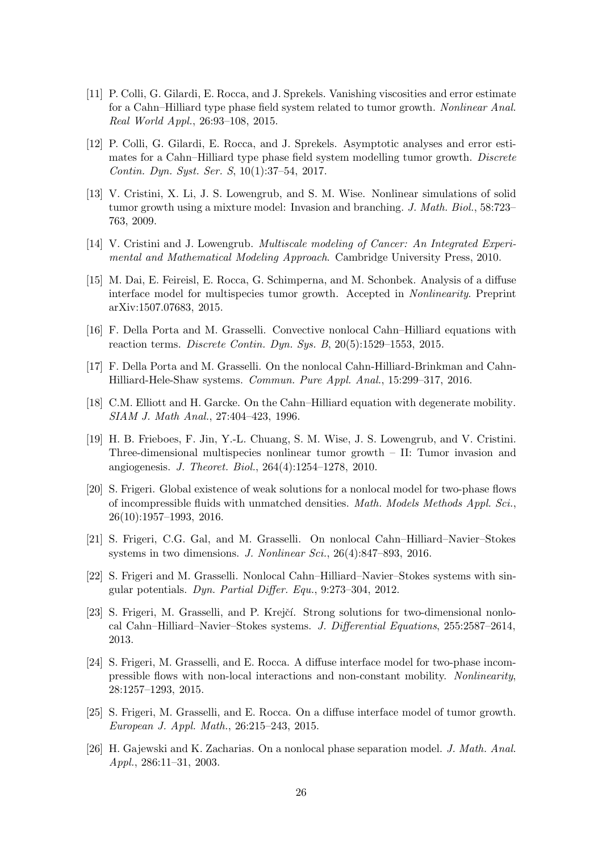- <span id="page-25-1"></span>[11] P. Colli, G. Gilardi, E. Rocca, and J. Sprekels. Vanishing viscosities and error estimate for a Cahn–Hilliard type phase field system related to tumor growth. Nonlinear Anal. Real World Appl., 26:93–108, 2015.
- <span id="page-25-2"></span>[12] P. Colli, G. Gilardi, E. Rocca, and J. Sprekels. Asymptotic analyses and error estimates for a Cahn–Hilliard type phase field system modelling tumor growth. Discrete Contin. Dyn. Syst. Ser. S, 10(1):37–54, 2017.
- <span id="page-25-12"></span>[13] V. Cristini, X. Li, J. S. Lowengrub, and S. M. Wise. Nonlinear simulations of solid tumor growth using a mixture model: Invasion and branching. J. Math. Biol., 58:723– 763, 2009.
- <span id="page-25-15"></span><span id="page-25-13"></span>[14] V. Cristini and J. Lowengrub. Multiscale modeling of Cancer: An Integrated Experimental and Mathematical Modeling Approach. Cambridge University Press, 2010.
- [15] M. Dai, E. Feireisl, E. Rocca, G. Schimperna, and M. Schonbek. Analysis of a diffuse interface model for multispecies tumor growth. Accepted in Nonlinearity. Preprint arXiv:1507.07683, 2015.
- <span id="page-25-10"></span><span id="page-25-4"></span>[16] F. Della Porta and M. Grasselli. Convective nonlocal Cahn–Hilliard equations with reaction terms. Discrete Contin. Dyn. Sys. B, 20(5):1529–1553, 2015.
- <span id="page-25-11"></span>[17] F. Della Porta and M. Grasselli. On the nonlocal Cahn-Hilliard-Brinkman and Cahn-Hilliard-Hele-Shaw systems. Commun. Pure Appl. Anal., 15:299–317, 2016.
- <span id="page-25-14"></span>[18] C.M. Elliott and H. Garcke. On the Cahn–Hilliard equation with degenerate mobility. SIAM J. Math Anal., 27:404–423, 1996.
- [19] H. B. Frieboes, F. Jin, Y.-L. Chuang, S. M. Wise, J. S. Lowengrub, and V. Cristini. Three-dimensional multispecies nonlinear tumor growth – II: Tumor invasion and angiogenesis. J. Theoret. Biol., 264(4):1254–1278, 2010.
- <span id="page-25-5"></span>[20] S. Frigeri. Global existence of weak solutions for a nonlocal model for two-phase flows of incompressible fluids with unmatched densities. Math. Models Methods Appl. Sci., 26(10):1957–1993, 2016.
- <span id="page-25-7"></span>[21] S. Frigeri, C.G. Gal, and M. Grasselli. On nonlocal Cahn–Hilliard–Navier–Stokes systems in two dimensions. J. Nonlinear Sci., 26(4):847–893, 2016.
- <span id="page-25-8"></span><span id="page-25-6"></span>[22] S. Frigeri and M. Grasselli. Nonlocal Cahn–Hilliard–Navier–Stokes systems with singular potentials. Dyn. Partial Differ. Equ., 9:273–304, 2012.
- [23] S. Frigeri, M. Grasselli, and P. Krejčí. Strong solutions for two-dimensional nonlocal Cahn–Hilliard–Navier–Stokes systems. J. Differential Equations, 255:2587–2614, 2013.
- <span id="page-25-9"></span>[24] S. Frigeri, M. Grasselli, and E. Rocca. A diffuse interface model for two-phase incompressible flows with non-local interactions and non-constant mobility. Nonlinearity, 28:1257–1293, 2015.
- <span id="page-25-0"></span>[25] S. Frigeri, M. Grasselli, and E. Rocca. On a diffuse interface model of tumor growth. European J. Appl. Math., 26:215–243, 2015.
- <span id="page-25-3"></span>[26] H. Gajewski and K. Zacharias. On a nonlocal phase separation model. J. Math. Anal. Appl., 286:11–31, 2003.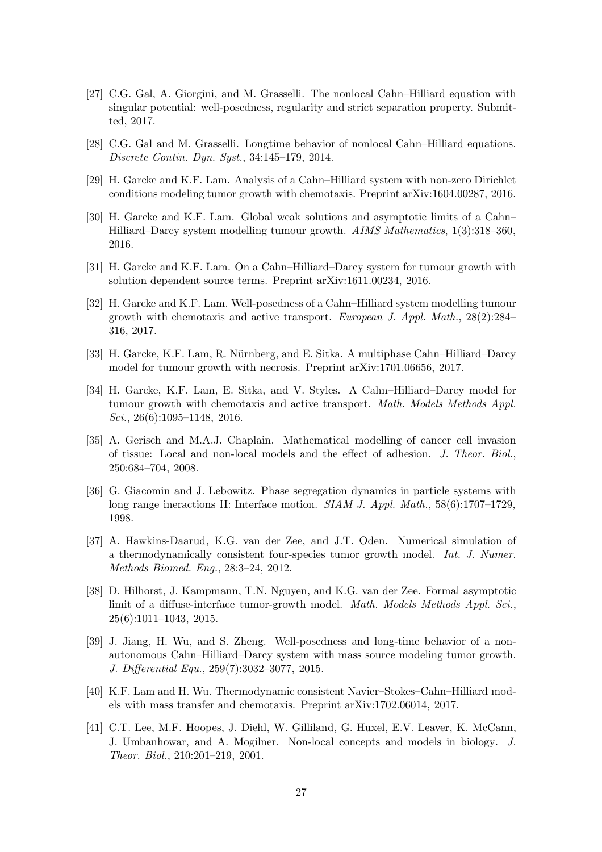- <span id="page-26-9"></span>[27] C.G. Gal, A. Giorgini, and M. Grasselli. The nonlocal Cahn–Hilliard equation with singular potential: well-posedness, regularity and strict separation property. Submitted, 2017.
- <span id="page-26-10"></span><span id="page-26-2"></span>[28] C.G. Gal and M. Grasselli. Longtime behavior of nonlocal Cahn–Hilliard equations. Discrete Contin. Dyn. Syst., 34:145–179, 2014.
- <span id="page-26-3"></span>[29] H. Garcke and K.F. Lam. Analysis of a Cahn–Hilliard system with non-zero Dirichlet conditions modeling tumor growth with chemotaxis. Preprint arXiv:1604.00287, 2016.
- [30] H. Garcke and K.F. Lam. Global weak solutions and asymptotic limits of a Cahn– Hilliard–Darcy system modelling tumour growth. AIMS Mathematics, 1(3):318–360, 2016.
- <span id="page-26-5"></span><span id="page-26-4"></span>[31] H. Garcke and K.F. Lam. On a Cahn–Hilliard–Darcy system for tumour growth with solution dependent source terms. Preprint arXiv:1611.00234, 2016.
- [32] H. Garcke and K.F. Lam. Well-posedness of a Cahn–Hilliard system modelling tumour growth with chemotaxis and active transport. European J. Appl. Math., 28(2):284– 316, 2017.
- <span id="page-26-13"></span><span id="page-26-1"></span>[33] H. Garcke, K.F. Lam, R. Nürnberg, and E. Sitka. A multiphase Cahn–Hilliard–Darcy model for tumour growth with necrosis. Preprint arXiv:1701.06656, 2017.
- [34] H. Garcke, K.F. Lam, E. Sitka, and V. Styles. A Cahn–Hilliard–Darcy model for tumour growth with chemotaxis and active transport. Math. Models Methods Appl. Sci., 26(6):1095–1148, 2016.
- <span id="page-26-8"></span>[35] A. Gerisch and M.A.J. Chaplain. Mathematical modelling of cancer cell invasion of tissue: Local and non-local models and the effect of adhesion. J. Theor. Biol., 250:684–704, 2008.
- <span id="page-26-14"></span>[36] G. Giacomin and J. Lebowitz. Phase segregation dynamics in particle systems with long range ineractions II: Interface motion. SIAM J. Appl. Math., 58(6):1707–1729, 1998.
- <span id="page-26-0"></span>[37] A. Hawkins-Daarud, K.G. van der Zee, and J.T. Oden. Numerical simulation of a thermodynamically consistent four-species tumor growth model. Int. J. Numer. Methods Biomed. Eng., 28:3–24, 2012.
- <span id="page-26-12"></span>[38] D. Hilhorst, J. Kampmann, T.N. Nguyen, and K.G. van der Zee. Formal asymptotic limit of a diffuse-interface tumor-growth model. Math. Models Methods Appl. Sci., 25(6):1011–1043, 2015.
- <span id="page-26-11"></span>[39] J. Jiang, H. Wu, and S. Zheng. Well-posedness and long-time behavior of a nonautonomous Cahn–Hilliard–Darcy system with mass source modeling tumor growth. J. Differential Equ., 259(7):3032–3077, 2015.
- <span id="page-26-6"></span>[40] K.F. Lam and H. Wu. Thermodynamic consistent Navier–Stokes–Cahn–Hilliard models with mass transfer and chemotaxis. Preprint arXiv:1702.06014, 2017.
- <span id="page-26-7"></span>[41] C.T. Lee, M.F. Hoopes, J. Diehl, W. Gilliland, G. Huxel, E.V. Leaver, K. McCann, J. Umbanhowar, and A. Mogilner. Non-local concepts and models in biology. J. Theor. Biol., 210:201–219, 2001.